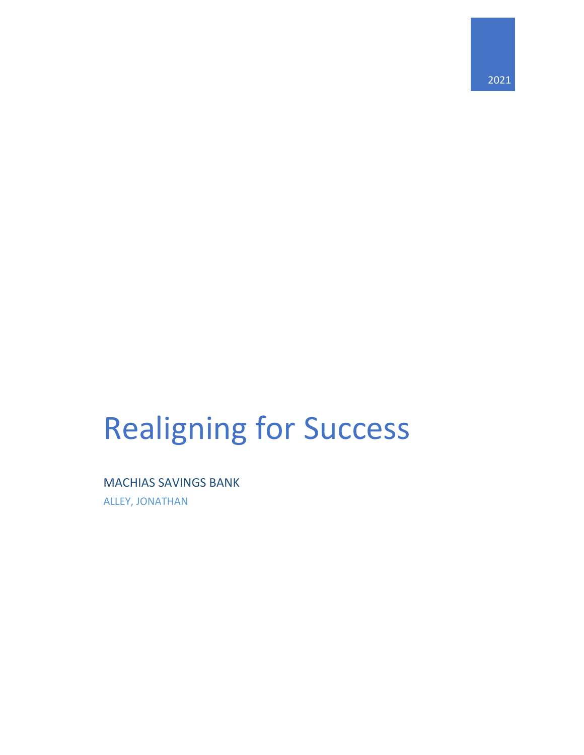# Realigning for Success

### MACHIAS SAVINGS BANK

ALLEY, JONATHAN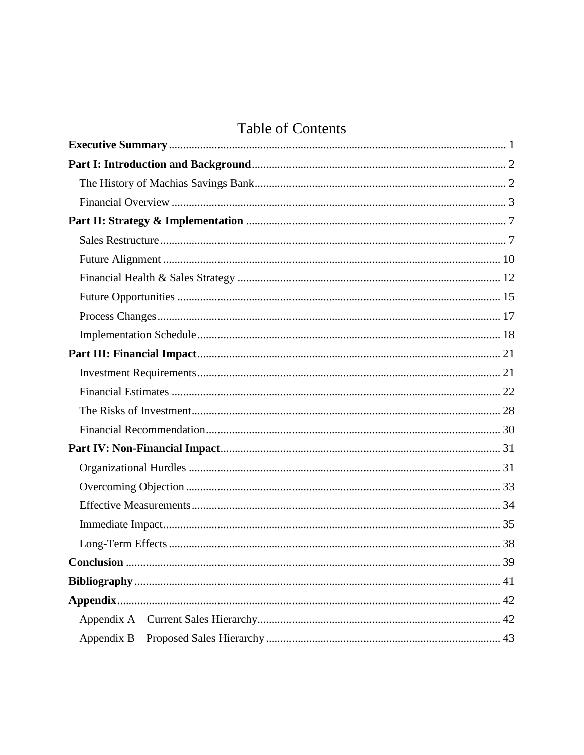## **Table of Contents**

<span id="page-1-0"></span>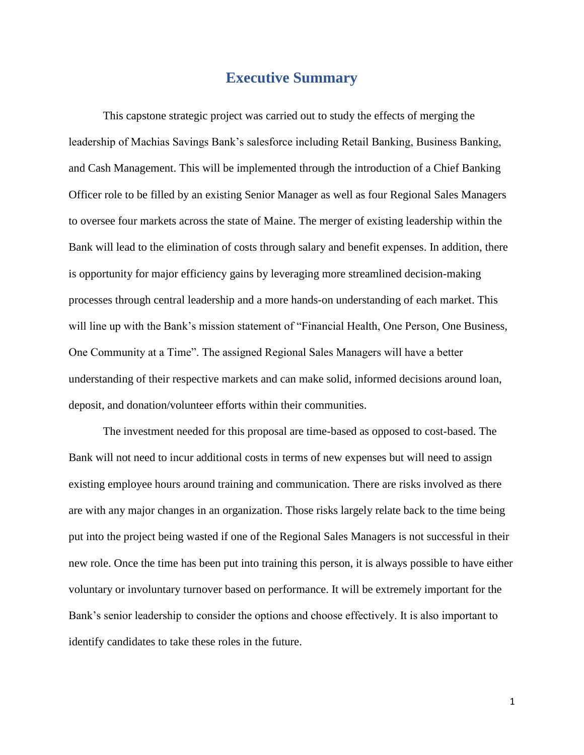## **Executive Summary**

This capstone strategic project was carried out to study the effects of merging the leadership of Machias Savings Bank's salesforce including Retail Banking, Business Banking, and Cash Management. This will be implemented through the introduction of a Chief Banking Officer role to be filled by an existing Senior Manager as well as four Regional Sales Managers to oversee four markets across the state of Maine. The merger of existing leadership within the Bank will lead to the elimination of costs through salary and benefit expenses. In addition, there is opportunity for major efficiency gains by leveraging more streamlined decision-making processes through central leadership and a more hands-on understanding of each market. This will line up with the Bank's mission statement of "Financial Health, One Person, One Business, One Community at a Time". The assigned Regional Sales Managers will have a better understanding of their respective markets and can make solid, informed decisions around loan, deposit, and donation/volunteer efforts within their communities.

The investment needed for this proposal are time-based as opposed to cost-based. The Bank will not need to incur additional costs in terms of new expenses but will need to assign existing employee hours around training and communication. There are risks involved as there are with any major changes in an organization. Those risks largely relate back to the time being put into the project being wasted if one of the Regional Sales Managers is not successful in their new role. Once the time has been put into training this person, it is always possible to have either voluntary or involuntary turnover based on performance. It will be extremely important for the Bank's senior leadership to consider the options and choose effectively. It is also important to identify candidates to take these roles in the future.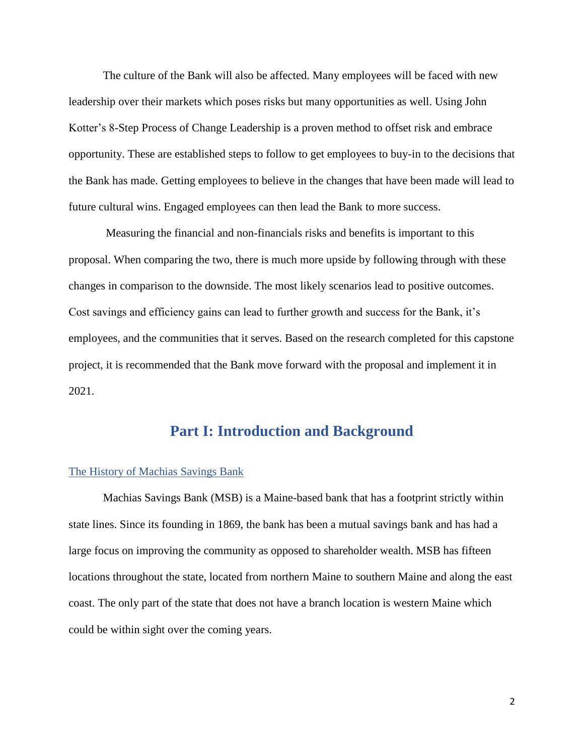The culture of the Bank will also be affected. Many employees will be faced with new leadership over their markets which poses risks but many opportunities as well. Using John Kotter's 8-Step Process of Change Leadership is a proven method to offset risk and embrace opportunity. These are established steps to follow to get employees to buy-in to the decisions that the Bank has made. Getting employees to believe in the changes that have been made will lead to future cultural wins. Engaged employees can then lead the Bank to more success.

Measuring the financial and non-financials risks and benefits is important to this proposal. When comparing the two, there is much more upside by following through with these changes in comparison to the downside. The most likely scenarios lead to positive outcomes. Cost savings and efficiency gains can lead to further growth and success for the Bank, it's employees, and the communities that it serves. Based on the research completed for this capstone project, it is recommended that the Bank move forward with the proposal and implement it in 2021.

## **Part I: Introduction and Background**

#### <span id="page-3-1"></span><span id="page-3-0"></span>The History of Machias Savings Bank

Machias Savings Bank (MSB) is a Maine-based bank that has a footprint strictly within state lines. Since its founding in 1869, the bank has been a mutual savings bank and has had a large focus on improving the community as opposed to shareholder wealth. MSB has fifteen locations throughout the state, located from northern Maine to southern Maine and along the east coast. The only part of the state that does not have a branch location is western Maine which could be within sight over the coming years.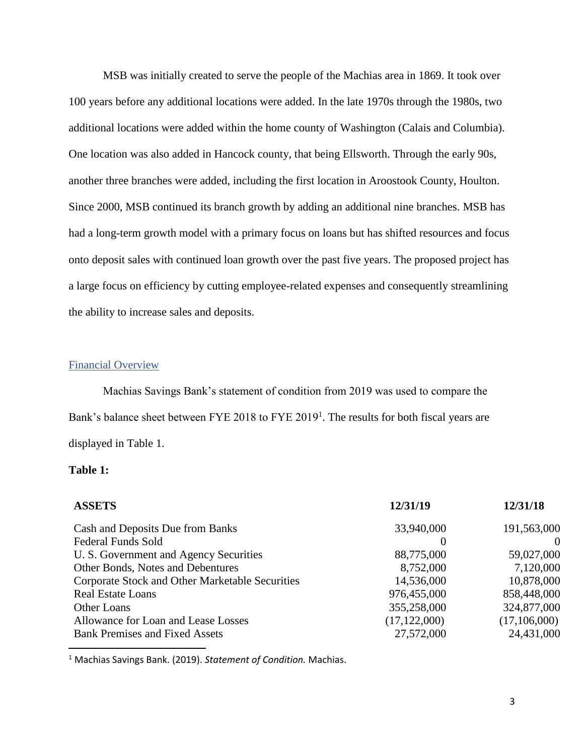MSB was initially created to serve the people of the Machias area in 1869. It took over 100 years before any additional locations were added. In the late 1970s through the 1980s, two additional locations were added within the home county of Washington (Calais and Columbia). One location was also added in Hancock county, that being Ellsworth. Through the early 90s, another three branches were added, including the first location in Aroostook County, Houlton. Since 2000, MSB continued its branch growth by adding an additional nine branches. MSB has had a long-term growth model with a primary focus on loans but has shifted resources and focus onto deposit sales with continued loan growth over the past five years. The proposed project has a large focus on efficiency by cutting employee-related expenses and consequently streamlining the ability to increase sales and deposits.

#### <span id="page-4-0"></span>Financial Overview

Machias Savings Bank's statement of condition from 2019 was used to compare the Bank's balance sheet between FYE 2018 to FYE 2019<sup>1</sup>. The results for both fiscal years are displayed in Table 1.

#### **Table 1:**

| 12/31/18     |
|--------------|
| 191,563,000  |
|              |
| 59,027,000   |
| 7,120,000    |
| 10,878,000   |
| 858,448,000  |
| 324,877,000  |
| (17,106,000) |
| 24,431,000   |
|              |

<sup>1</sup> Machias Savings Bank. (2019). *Statement of Condition.* Machias.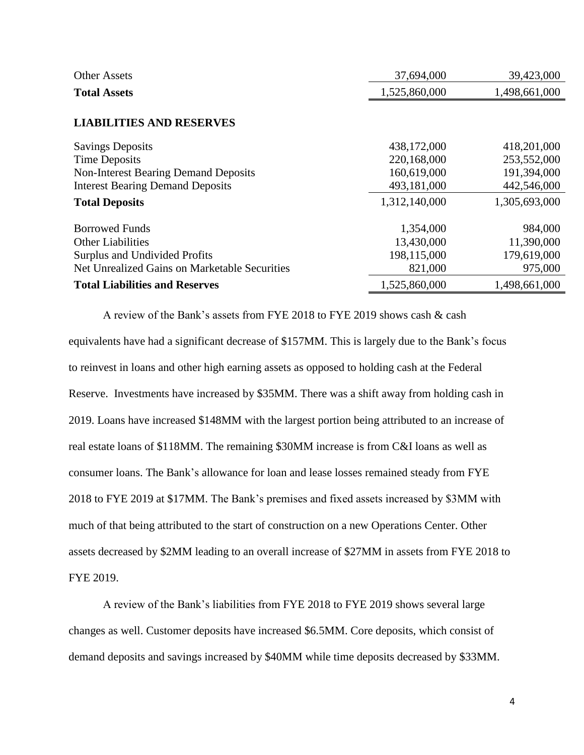| <b>Other Assets</b>                           | 37,694,000    | 39,423,000    |
|-----------------------------------------------|---------------|---------------|
| <b>Total Assets</b>                           | 1,525,860,000 | 1,498,661,000 |
|                                               |               |               |
| <b>LIABILITIES AND RESERVES</b>               |               |               |
| <b>Savings Deposits</b>                       | 438,172,000   | 418,201,000   |
| <b>Time Deposits</b>                          | 220,168,000   | 253,552,000   |
| <b>Non-Interest Bearing Demand Deposits</b>   | 160,619,000   | 191,394,000   |
| <b>Interest Bearing Demand Deposits</b>       | 493,181,000   | 442,546,000   |
| <b>Total Deposits</b>                         | 1,312,140,000 | 1,305,693,000 |
| <b>Borrowed Funds</b>                         | 1,354,000     | 984,000       |
| <b>Other Liabilities</b>                      | 13,430,000    | 11,390,000    |
| Surplus and Undivided Profits                 | 198,115,000   | 179,619,000   |
| Net Unrealized Gains on Marketable Securities | 821,000       | 975,000       |
| <b>Total Liabilities and Reserves</b>         | 1,525,860,000 | 1,498,661,000 |

A review of the Bank's assets from FYE 2018 to FYE 2019 shows cash & cash equivalents have had a significant decrease of \$157MM. This is largely due to the Bank's focus to reinvest in loans and other high earning assets as opposed to holding cash at the Federal Reserve. Investments have increased by \$35MM. There was a shift away from holding cash in 2019. Loans have increased \$148MM with the largest portion being attributed to an increase of real estate loans of \$118MM. The remaining \$30MM increase is from C&I loans as well as consumer loans. The Bank's allowance for loan and lease losses remained steady from FYE 2018 to FYE 2019 at \$17MM. The Bank's premises and fixed assets increased by \$3MM with much of that being attributed to the start of construction on a new Operations Center. Other assets decreased by \$2MM leading to an overall increase of \$27MM in assets from FYE 2018 to FYE 2019.

A review of the Bank's liabilities from FYE 2018 to FYE 2019 shows several large changes as well. Customer deposits have increased \$6.5MM. Core deposits, which consist of demand deposits and savings increased by \$40MM while time deposits decreased by \$33MM.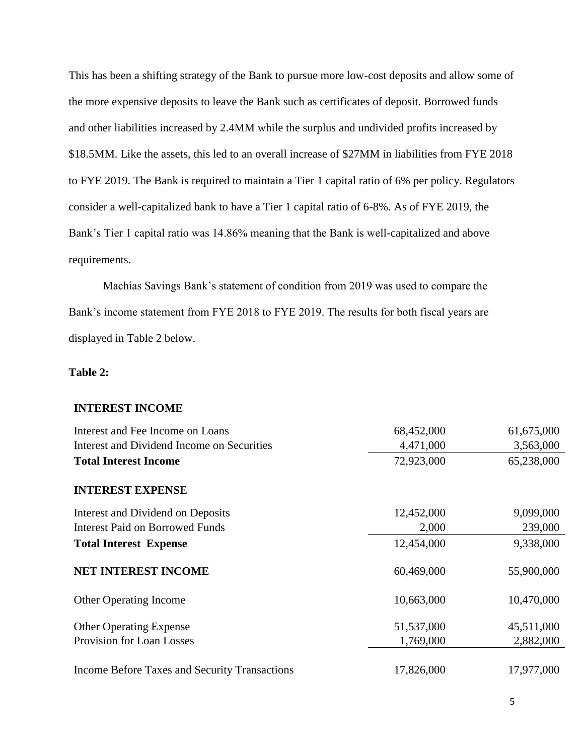This has been a shifting strategy of the Bank to pursue more low-cost deposits and allow some of the more expensive deposits to leave the Bank such as certificates of deposit. Borrowed funds and other liabilities increased by 2.4MM while the surplus and undivided profits increased by \$18.5MM. Like the assets, this led to an overall increase of \$27MM in liabilities from FYE 2018 to FYE 2019. The Bank is required to maintain a Tier 1 capital ratio of 6% per policy. Regulators consider a well-capitalized bank to have a Tier 1 capital ratio of 6-8%. As of FYE 2019, the Bank's Tier 1 capital ratio was 14.86% meaning that the Bank is well-capitalized and above requirements.

Machias Savings Bank's statement of condition from 2019 was used to compare the Bank's income statement from FYE 2018 to FYE 2019. The results for both fiscal years are displayed in Table 2 below.

#### **Table 2:**

#### **INTEREST INCOME**

| Interest and Fee Income on Loans              | 68,452,000 | 61,675,000 |
|-----------------------------------------------|------------|------------|
| Interest and Dividend Income on Securities    | 4,471,000  | 3,563,000  |
| <b>Total Interest Income</b>                  | 72,923,000 | 65,238,000 |
| <b>INTEREST EXPENSE</b>                       |            |            |
| Interest and Dividend on Deposits             | 12,452,000 | 9,099,000  |
| Interest Paid on Borrowed Funds               | 2,000      | 239,000    |
| <b>Total Interest Expense</b>                 | 12,454,000 | 9,338,000  |
| <b>NET INTEREST INCOME</b>                    | 60,469,000 | 55,900,000 |
| <b>Other Operating Income</b>                 | 10,663,000 | 10,470,000 |
| <b>Other Operating Expense</b>                | 51,537,000 | 45,511,000 |
| Provision for Loan Losses                     | 1,769,000  | 2,882,000  |
| Income Before Taxes and Security Transactions | 17,826,000 | 17,977,000 |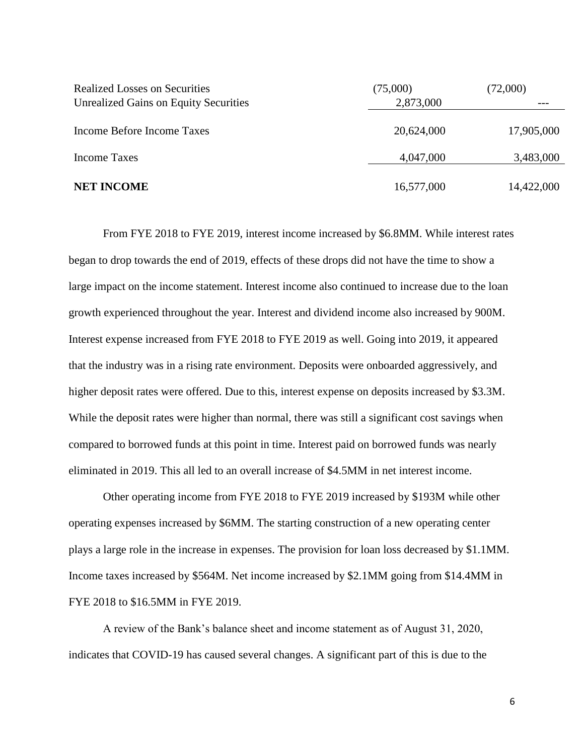| <b>Realized Losses on Securities</b><br><b>Unrealized Gains on Equity Securities</b> | (75,000)<br>2,873,000 | (72,000)   |
|--------------------------------------------------------------------------------------|-----------------------|------------|
| Income Before Income Taxes                                                           | 20,624,000            | 17,905,000 |
| Income Taxes                                                                         | 4,047,000             | 3,483,000  |
| <b>NET INCOME</b>                                                                    | 16,577,000            | 14,422,000 |

From FYE 2018 to FYE 2019, interest income increased by \$6.8MM. While interest rates began to drop towards the end of 2019, effects of these drops did not have the time to show a large impact on the income statement. Interest income also continued to increase due to the loan growth experienced throughout the year. Interest and dividend income also increased by 900M. Interest expense increased from FYE 2018 to FYE 2019 as well. Going into 2019, it appeared that the industry was in a rising rate environment. Deposits were onboarded aggressively, and higher deposit rates were offered. Due to this, interest expense on deposits increased by \$3.3M. While the deposit rates were higher than normal, there was still a significant cost savings when compared to borrowed funds at this point in time. Interest paid on borrowed funds was nearly eliminated in 2019. This all led to an overall increase of \$4.5MM in net interest income.

Other operating income from FYE 2018 to FYE 2019 increased by \$193M while other operating expenses increased by \$6MM. The starting construction of a new operating center plays a large role in the increase in expenses. The provision for loan loss decreased by \$1.1MM. Income taxes increased by \$564M. Net income increased by \$2.1MM going from \$14.4MM in FYE 2018 to \$16.5MM in FYE 2019.

A review of the Bank's balance sheet and income statement as of August 31, 2020, indicates that COVID-19 has caused several changes. A significant part of this is due to the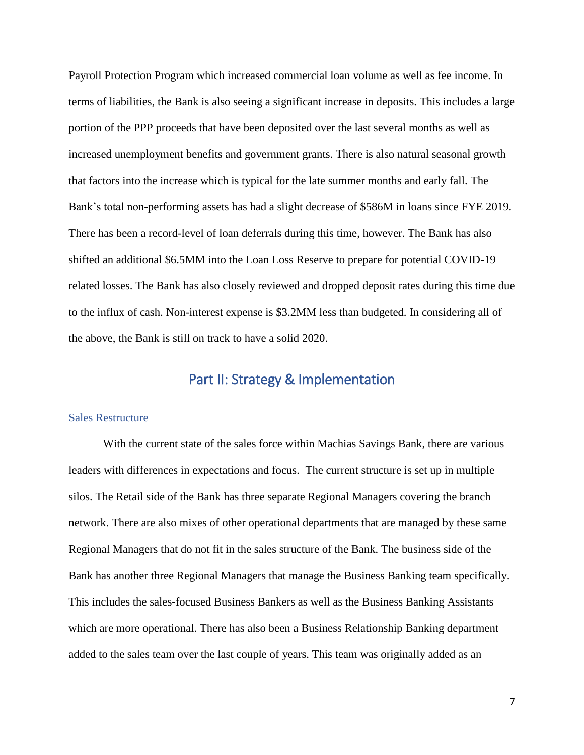Payroll Protection Program which increased commercial loan volume as well as fee income. In terms of liabilities, the Bank is also seeing a significant increase in deposits. This includes a large portion of the PPP proceeds that have been deposited over the last several months as well as increased unemployment benefits and government grants. There is also natural seasonal growth that factors into the increase which is typical for the late summer months and early fall. The Bank's total non-performing assets has had a slight decrease of \$586M in loans since FYE 2019. There has been a record-level of loan deferrals during this time, however. The Bank has also shifted an additional \$6.5MM into the Loan Loss Reserve to prepare for potential COVID-19 related losses. The Bank has also closely reviewed and dropped deposit rates during this time due to the influx of cash. Non-interest expense is \$3.2MM less than budgeted. In considering all of the above, the Bank is still on track to have a solid 2020.

## Part II: Strategy & Implementation

#### <span id="page-8-1"></span><span id="page-8-0"></span>Sales Restructure

With the current state of the sales force within Machias Savings Bank, there are various leaders with differences in expectations and focus. The current structure is set up in multiple silos. The Retail side of the Bank has three separate Regional Managers covering the branch network. There are also mixes of other operational departments that are managed by these same Regional Managers that do not fit in the sales structure of the Bank. The business side of the Bank has another three Regional Managers that manage the Business Banking team specifically. This includes the sales-focused Business Bankers as well as the Business Banking Assistants which are more operational. There has also been a Business Relationship Banking department added to the sales team over the last couple of years. This team was originally added as an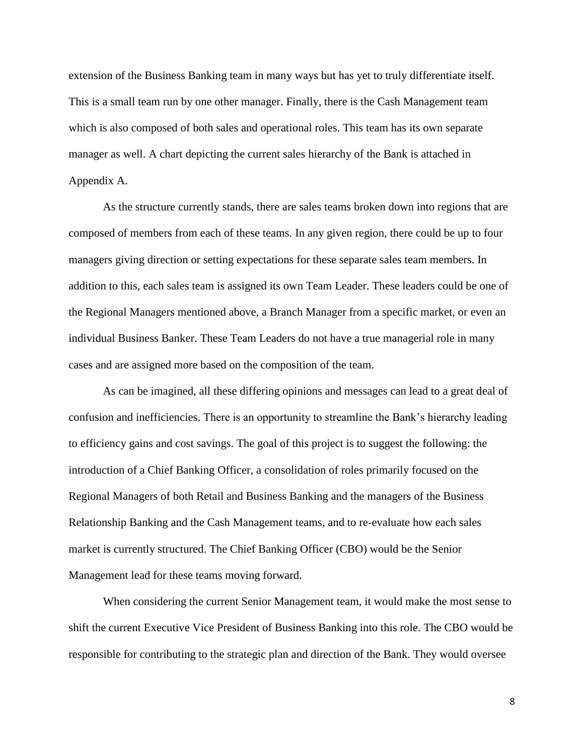extension of the Business Banking team in many ways but has yet to truly differentiate itself. This is a small team run by one other manager. Finally, there is the Cash Management team which is also composed of both sales and operational roles. This team has its own separate manager as well. A chart depicting the current sales hierarchy of the Bank is attached in Appendix A.

As the structure currently stands, there are sales teams broken down into regions that are composed of members from each of these teams. In any given region, there could be up to four managers giving direction or setting expectations for these separate sales team members. In addition to this, each sales team is assigned its own Team Leader. These leaders could be one of the Regional Managers mentioned above, a Branch Manager from a specific market, or even an individual Business Banker. These Team Leaders do not have a true managerial role in many cases and are assigned more based on the composition of the team.

As can be imagined, all these differing opinions and messages can lead to a great deal of confusion and inefficiencies. There is an opportunity to streamline the Bank's hierarchy leading to efficiency gains and cost savings. The goal of this project is to suggest the following: the introduction of a Chief Banking Officer, a consolidation of roles primarily focused on the Regional Managers of both Retail and Business Banking and the managers of the Business Relationship Banking and the Cash Management teams, and to re-evaluate how each sales market is currently structured. The Chief Banking Officer (CBO) would be the Senior Management lead for these teams moving forward.

When considering the current Senior Management team, it would make the most sense to shift the current Executive Vice President of Business Banking into this role. The CBO would be responsible for contributing to the strategic plan and direction of the Bank. They would oversee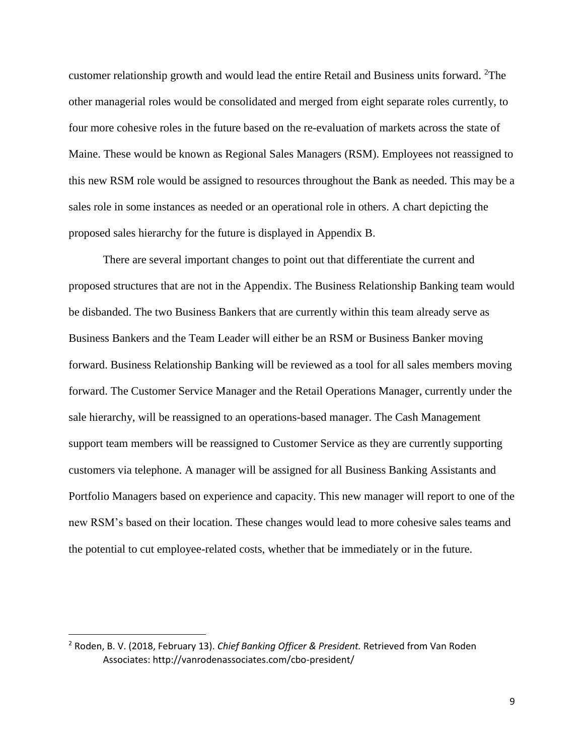customer relationship growth and would lead the entire Retail and Business units forward. <sup>2</sup>The other managerial roles would be consolidated and merged from eight separate roles currently, to four more cohesive roles in the future based on the re-evaluation of markets across the state of Maine. These would be known as Regional Sales Managers (RSM). Employees not reassigned to this new RSM role would be assigned to resources throughout the Bank as needed. This may be a sales role in some instances as needed or an operational role in others. A chart depicting the proposed sales hierarchy for the future is displayed in Appendix B.

There are several important changes to point out that differentiate the current and proposed structures that are not in the Appendix. The Business Relationship Banking team would be disbanded. The two Business Bankers that are currently within this team already serve as Business Bankers and the Team Leader will either be an RSM or Business Banker moving forward. Business Relationship Banking will be reviewed as a tool for all sales members moving forward. The Customer Service Manager and the Retail Operations Manager, currently under the sale hierarchy, will be reassigned to an operations-based manager. The Cash Management support team members will be reassigned to Customer Service as they are currently supporting customers via telephone. A manager will be assigned for all Business Banking Assistants and Portfolio Managers based on experience and capacity. This new manager will report to one of the new RSM's based on their location. These changes would lead to more cohesive sales teams and the potential to cut employee-related costs, whether that be immediately or in the future.

l

<sup>2</sup> Roden, B. V. (2018, February 13). *Chief Banking Officer & President.* Retrieved from Van Roden Associates: http://vanrodenassociates.com/cbo-president/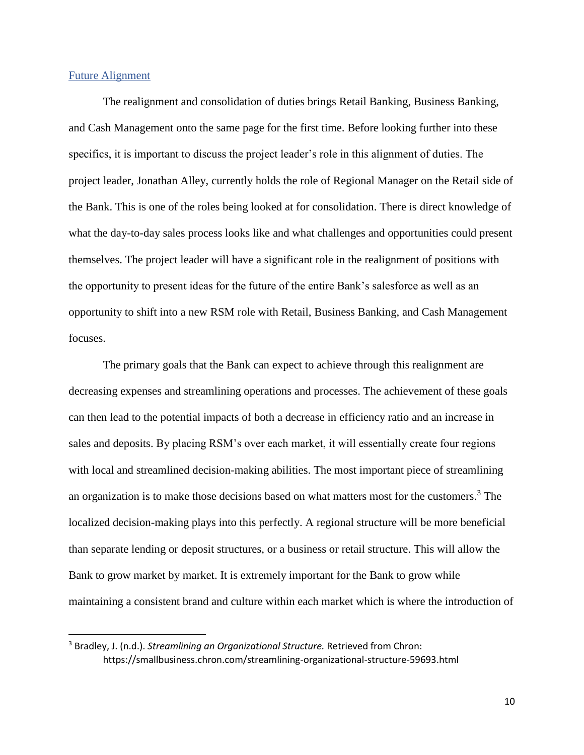#### <span id="page-11-0"></span>Future Alignment

l

The realignment and consolidation of duties brings Retail Banking, Business Banking, and Cash Management onto the same page for the first time. Before looking further into these specifics, it is important to discuss the project leader's role in this alignment of duties. The project leader, Jonathan Alley, currently holds the role of Regional Manager on the Retail side of the Bank. This is one of the roles being looked at for consolidation. There is direct knowledge of what the day-to-day sales process looks like and what challenges and opportunities could present themselves. The project leader will have a significant role in the realignment of positions with the opportunity to present ideas for the future of the entire Bank's salesforce as well as an opportunity to shift into a new RSM role with Retail, Business Banking, and Cash Management focuses.

The primary goals that the Bank can expect to achieve through this realignment are decreasing expenses and streamlining operations and processes. The achievement of these goals can then lead to the potential impacts of both a decrease in efficiency ratio and an increase in sales and deposits. By placing RSM's over each market, it will essentially create four regions with local and streamlined decision-making abilities. The most important piece of streamlining an organization is to make those decisions based on what matters most for the customers.<sup>3</sup> The localized decision-making plays into this perfectly. A regional structure will be more beneficial than separate lending or deposit structures, or a business or retail structure. This will allow the Bank to grow market by market. It is extremely important for the Bank to grow while maintaining a consistent brand and culture within each market which is where the introduction of

<sup>3</sup> Bradley, J. (n.d.). *Streamlining an Organizational Structure.* Retrieved from Chron: https://smallbusiness.chron.com/streamlining-organizational-structure-59693.html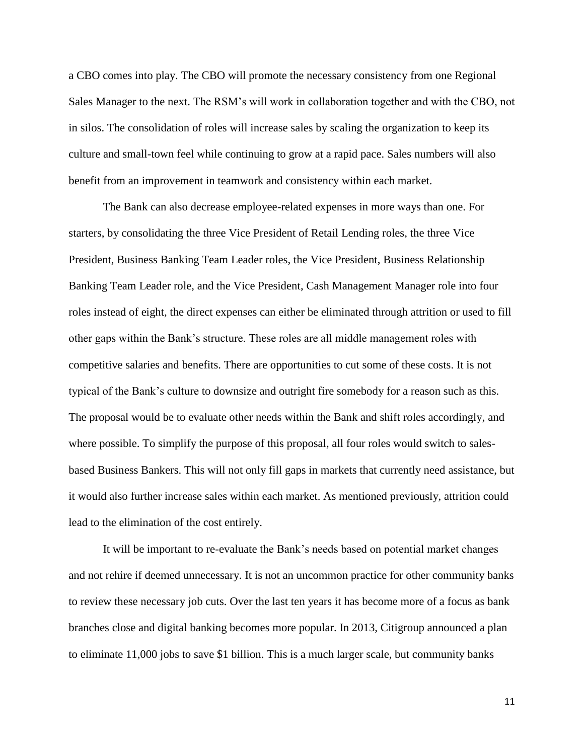a CBO comes into play. The CBO will promote the necessary consistency from one Regional Sales Manager to the next. The RSM's will work in collaboration together and with the CBO, not in silos. The consolidation of roles will increase sales by scaling the organization to keep its culture and small-town feel while continuing to grow at a rapid pace. Sales numbers will also benefit from an improvement in teamwork and consistency within each market.

The Bank can also decrease employee-related expenses in more ways than one. For starters, by consolidating the three Vice President of Retail Lending roles, the three Vice President, Business Banking Team Leader roles, the Vice President, Business Relationship Banking Team Leader role, and the Vice President, Cash Management Manager role into four roles instead of eight, the direct expenses can either be eliminated through attrition or used to fill other gaps within the Bank's structure. These roles are all middle management roles with competitive salaries and benefits. There are opportunities to cut some of these costs. It is not typical of the Bank's culture to downsize and outright fire somebody for a reason such as this. The proposal would be to evaluate other needs within the Bank and shift roles accordingly, and where possible. To simplify the purpose of this proposal, all four roles would switch to salesbased Business Bankers. This will not only fill gaps in markets that currently need assistance, but it would also further increase sales within each market. As mentioned previously, attrition could lead to the elimination of the cost entirely.

It will be important to re-evaluate the Bank's needs based on potential market changes and not rehire if deemed unnecessary. It is not an uncommon practice for other community banks to review these necessary job cuts. Over the last ten years it has become more of a focus as bank branches close and digital banking becomes more popular. In 2013, Citigroup announced a plan to eliminate 11,000 jobs to save \$1 billion. This is a much larger scale, but community banks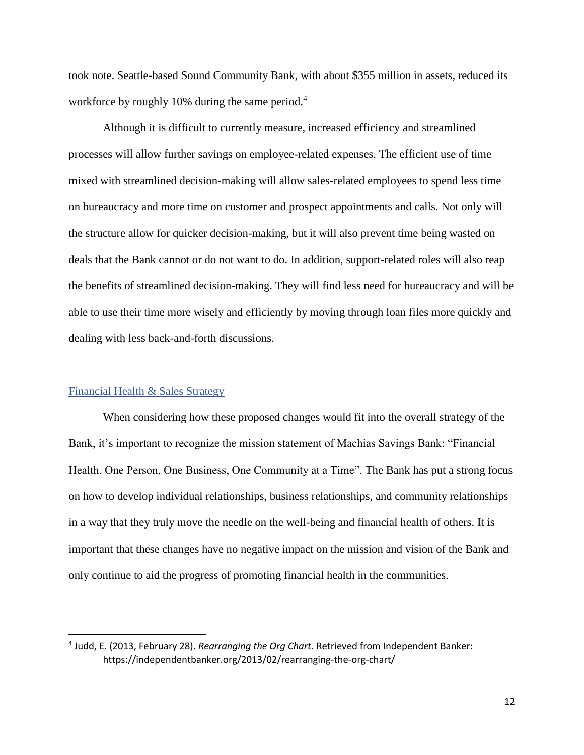took note. Seattle-based Sound Community Bank, with about \$355 million in assets, reduced its workforce by roughly 10% during the same period.<sup>4</sup>

Although it is difficult to currently measure, increased efficiency and streamlined processes will allow further savings on employee-related expenses. The efficient use of time mixed with streamlined decision-making will allow sales-related employees to spend less time on bureaucracy and more time on customer and prospect appointments and calls. Not only will the structure allow for quicker decision-making, but it will also prevent time being wasted on deals that the Bank cannot or do not want to do. In addition, support-related roles will also reap the benefits of streamlined decision-making. They will find less need for bureaucracy and will be able to use their time more wisely and efficiently by moving through loan files more quickly and dealing with less back-and-forth discussions.

#### <span id="page-13-0"></span>Financial Health & Sales Strategy

l

When considering how these proposed changes would fit into the overall strategy of the Bank, it's important to recognize the mission statement of Machias Savings Bank: "Financial Health, One Person, One Business, One Community at a Time". The Bank has put a strong focus on how to develop individual relationships, business relationships, and community relationships in a way that they truly move the needle on the well-being and financial health of others. It is important that these changes have no negative impact on the mission and vision of the Bank and only continue to aid the progress of promoting financial health in the communities.

<sup>4</sup> Judd, E. (2013, February 28). *Rearranging the Org Chart.* Retrieved from Independent Banker: https://independentbanker.org/2013/02/rearranging-the-org-chart/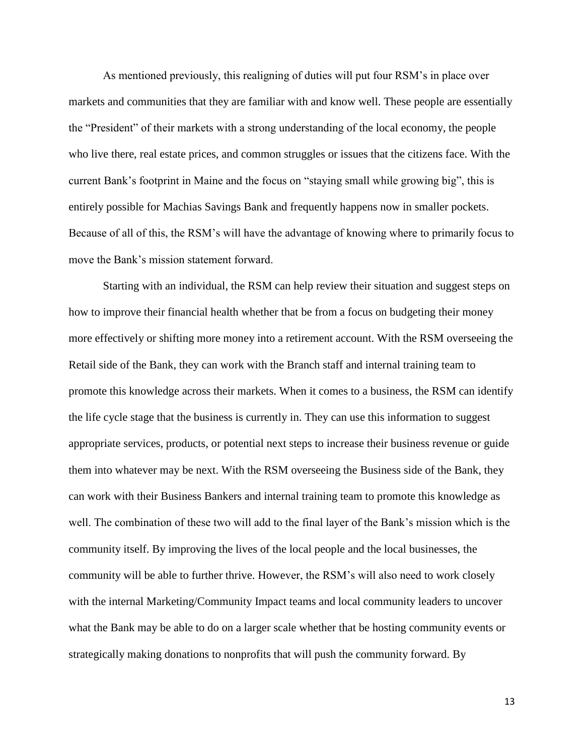As mentioned previously, this realigning of duties will put four RSM's in place over markets and communities that they are familiar with and know well. These people are essentially the "President" of their markets with a strong understanding of the local economy, the people who live there, real estate prices, and common struggles or issues that the citizens face. With the current Bank's footprint in Maine and the focus on "staying small while growing big", this is entirely possible for Machias Savings Bank and frequently happens now in smaller pockets. Because of all of this, the RSM's will have the advantage of knowing where to primarily focus to move the Bank's mission statement forward.

Starting with an individual, the RSM can help review their situation and suggest steps on how to improve their financial health whether that be from a focus on budgeting their money more effectively or shifting more money into a retirement account. With the RSM overseeing the Retail side of the Bank, they can work with the Branch staff and internal training team to promote this knowledge across their markets. When it comes to a business, the RSM can identify the life cycle stage that the business is currently in. They can use this information to suggest appropriate services, products, or potential next steps to increase their business revenue or guide them into whatever may be next. With the RSM overseeing the Business side of the Bank, they can work with their Business Bankers and internal training team to promote this knowledge as well. The combination of these two will add to the final layer of the Bank's mission which is the community itself. By improving the lives of the local people and the local businesses, the community will be able to further thrive. However, the RSM's will also need to work closely with the internal Marketing/Community Impact teams and local community leaders to uncover what the Bank may be able to do on a larger scale whether that be hosting community events or strategically making donations to nonprofits that will push the community forward. By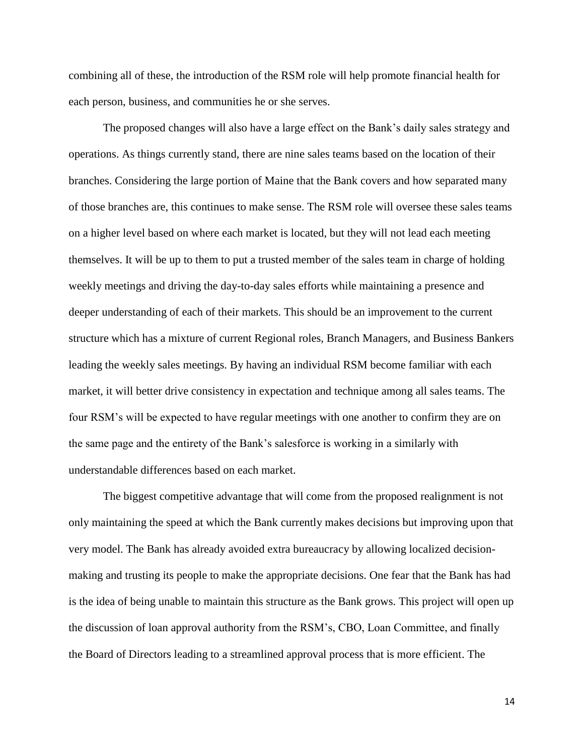combining all of these, the introduction of the RSM role will help promote financial health for each person, business, and communities he or she serves.

The proposed changes will also have a large effect on the Bank's daily sales strategy and operations. As things currently stand, there are nine sales teams based on the location of their branches. Considering the large portion of Maine that the Bank covers and how separated many of those branches are, this continues to make sense. The RSM role will oversee these sales teams on a higher level based on where each market is located, but they will not lead each meeting themselves. It will be up to them to put a trusted member of the sales team in charge of holding weekly meetings and driving the day-to-day sales efforts while maintaining a presence and deeper understanding of each of their markets. This should be an improvement to the current structure which has a mixture of current Regional roles, Branch Managers, and Business Bankers leading the weekly sales meetings. By having an individual RSM become familiar with each market, it will better drive consistency in expectation and technique among all sales teams. The four RSM's will be expected to have regular meetings with one another to confirm they are on the same page and the entirety of the Bank's salesforce is working in a similarly with understandable differences based on each market.

The biggest competitive advantage that will come from the proposed realignment is not only maintaining the speed at which the Bank currently makes decisions but improving upon that very model. The Bank has already avoided extra bureaucracy by allowing localized decisionmaking and trusting its people to make the appropriate decisions. One fear that the Bank has had is the idea of being unable to maintain this structure as the Bank grows. This project will open up the discussion of loan approval authority from the RSM's, CBO, Loan Committee, and finally the Board of Directors leading to a streamlined approval process that is more efficient. The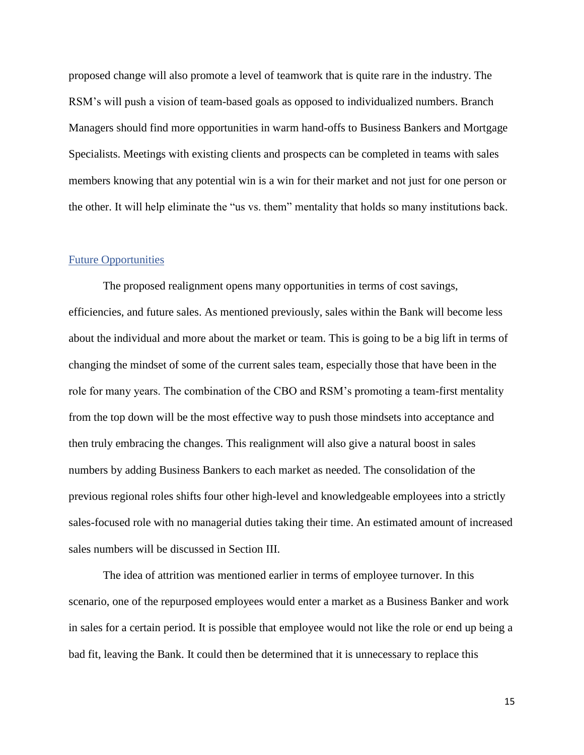proposed change will also promote a level of teamwork that is quite rare in the industry. The RSM's will push a vision of team-based goals as opposed to individualized numbers. Branch Managers should find more opportunities in warm hand-offs to Business Bankers and Mortgage Specialists. Meetings with existing clients and prospects can be completed in teams with sales members knowing that any potential win is a win for their market and not just for one person or the other. It will help eliminate the "us vs. them" mentality that holds so many institutions back.

#### <span id="page-16-0"></span>Future Opportunities

The proposed realignment opens many opportunities in terms of cost savings, efficiencies, and future sales. As mentioned previously, sales within the Bank will become less about the individual and more about the market or team. This is going to be a big lift in terms of changing the mindset of some of the current sales team, especially those that have been in the role for many years. The combination of the CBO and RSM's promoting a team-first mentality from the top down will be the most effective way to push those mindsets into acceptance and then truly embracing the changes. This realignment will also give a natural boost in sales numbers by adding Business Bankers to each market as needed. The consolidation of the previous regional roles shifts four other high-level and knowledgeable employees into a strictly sales-focused role with no managerial duties taking their time. An estimated amount of increased sales numbers will be discussed in Section III.

The idea of attrition was mentioned earlier in terms of employee turnover. In this scenario, one of the repurposed employees would enter a market as a Business Banker and work in sales for a certain period. It is possible that employee would not like the role or end up being a bad fit, leaving the Bank. It could then be determined that it is unnecessary to replace this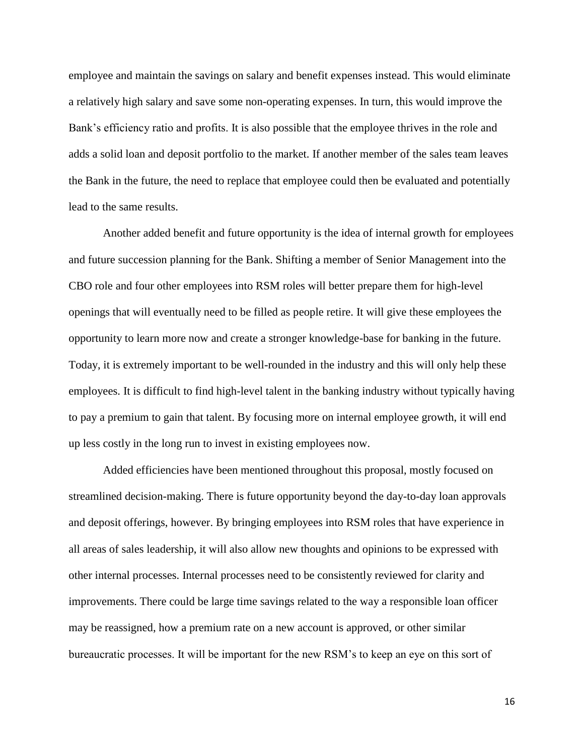employee and maintain the savings on salary and benefit expenses instead. This would eliminate a relatively high salary and save some non-operating expenses. In turn, this would improve the Bank's efficiency ratio and profits. It is also possible that the employee thrives in the role and adds a solid loan and deposit portfolio to the market. If another member of the sales team leaves the Bank in the future, the need to replace that employee could then be evaluated and potentially lead to the same results.

Another added benefit and future opportunity is the idea of internal growth for employees and future succession planning for the Bank. Shifting a member of Senior Management into the CBO role and four other employees into RSM roles will better prepare them for high-level openings that will eventually need to be filled as people retire. It will give these employees the opportunity to learn more now and create a stronger knowledge-base for banking in the future. Today, it is extremely important to be well-rounded in the industry and this will only help these employees. It is difficult to find high-level talent in the banking industry without typically having to pay a premium to gain that talent. By focusing more on internal employee growth, it will end up less costly in the long run to invest in existing employees now.

Added efficiencies have been mentioned throughout this proposal, mostly focused on streamlined decision-making. There is future opportunity beyond the day-to-day loan approvals and deposit offerings, however. By bringing employees into RSM roles that have experience in all areas of sales leadership, it will also allow new thoughts and opinions to be expressed with other internal processes. Internal processes need to be consistently reviewed for clarity and improvements. There could be large time savings related to the way a responsible loan officer may be reassigned, how a premium rate on a new account is approved, or other similar bureaucratic processes. It will be important for the new RSM's to keep an eye on this sort of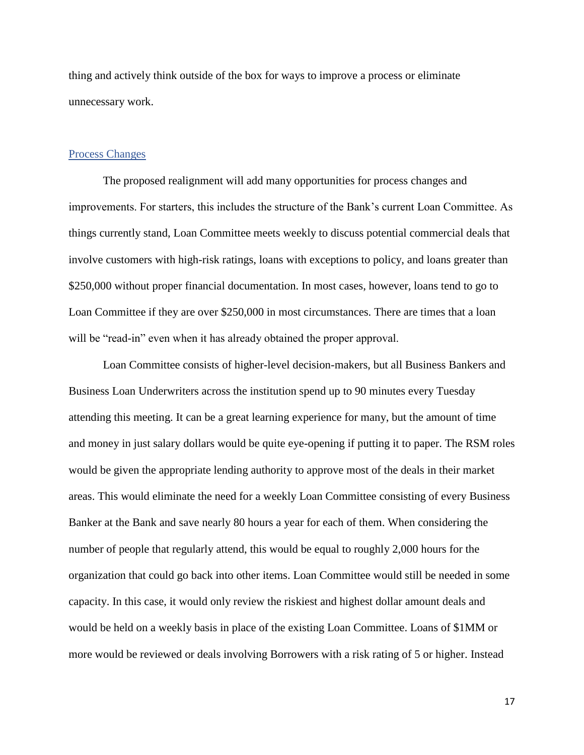thing and actively think outside of the box for ways to improve a process or eliminate unnecessary work.

#### <span id="page-18-0"></span>Process Changes

The proposed realignment will add many opportunities for process changes and improvements. For starters, this includes the structure of the Bank's current Loan Committee. As things currently stand, Loan Committee meets weekly to discuss potential commercial deals that involve customers with high-risk ratings, loans with exceptions to policy, and loans greater than \$250,000 without proper financial documentation. In most cases, however, loans tend to go to Loan Committee if they are over \$250,000 in most circumstances. There are times that a loan will be "read-in" even when it has already obtained the proper approval.

Loan Committee consists of higher-level decision-makers, but all Business Bankers and Business Loan Underwriters across the institution spend up to 90 minutes every Tuesday attending this meeting. It can be a great learning experience for many, but the amount of time and money in just salary dollars would be quite eye-opening if putting it to paper. The RSM roles would be given the appropriate lending authority to approve most of the deals in their market areas. This would eliminate the need for a weekly Loan Committee consisting of every Business Banker at the Bank and save nearly 80 hours a year for each of them. When considering the number of people that regularly attend, this would be equal to roughly 2,000 hours for the organization that could go back into other items. Loan Committee would still be needed in some capacity. In this case, it would only review the riskiest and highest dollar amount deals and would be held on a weekly basis in place of the existing Loan Committee. Loans of \$1MM or more would be reviewed or deals involving Borrowers with a risk rating of 5 or higher. Instead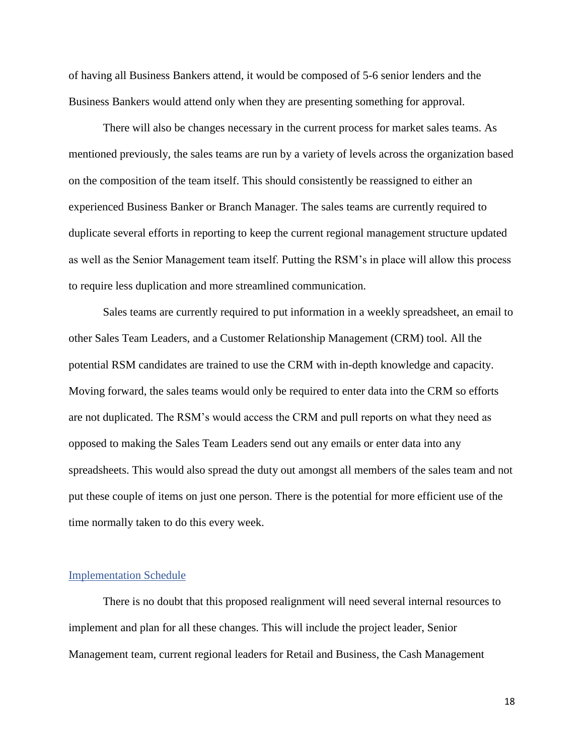of having all Business Bankers attend, it would be composed of 5-6 senior lenders and the Business Bankers would attend only when they are presenting something for approval.

There will also be changes necessary in the current process for market sales teams. As mentioned previously, the sales teams are run by a variety of levels across the organization based on the composition of the team itself. This should consistently be reassigned to either an experienced Business Banker or Branch Manager. The sales teams are currently required to duplicate several efforts in reporting to keep the current regional management structure updated as well as the Senior Management team itself. Putting the RSM's in place will allow this process to require less duplication and more streamlined communication.

Sales teams are currently required to put information in a weekly spreadsheet, an email to other Sales Team Leaders, and a Customer Relationship Management (CRM) tool. All the potential RSM candidates are trained to use the CRM with in-depth knowledge and capacity. Moving forward, the sales teams would only be required to enter data into the CRM so efforts are not duplicated. The RSM's would access the CRM and pull reports on what they need as opposed to making the Sales Team Leaders send out any emails or enter data into any spreadsheets. This would also spread the duty out amongst all members of the sales team and not put these couple of items on just one person. There is the potential for more efficient use of the time normally taken to do this every week.

#### <span id="page-19-0"></span>Implementation Schedule

There is no doubt that this proposed realignment will need several internal resources to implement and plan for all these changes. This will include the project leader, Senior Management team, current regional leaders for Retail and Business, the Cash Management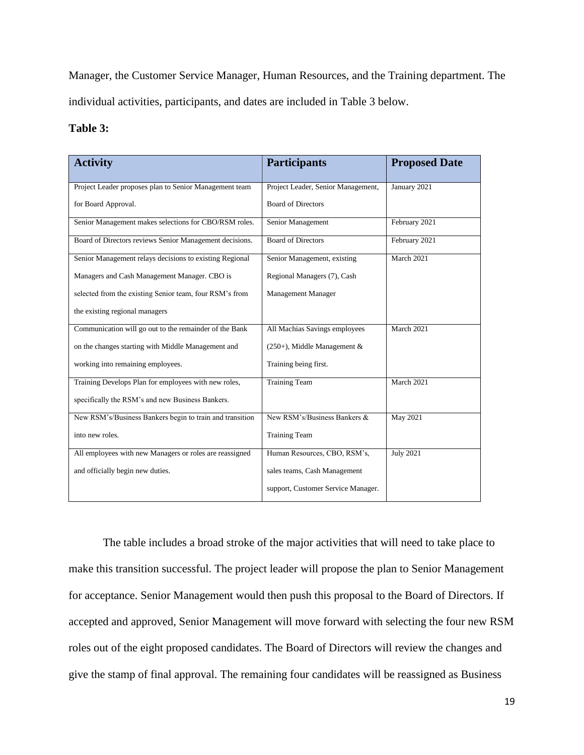Manager, the Customer Service Manager, Human Resources, and the Training department. The individual activities, participants, and dates are included in Table 3 below.

#### **Table 3:**

| <b>Activity</b>                                          | <b>Participants</b>                | <b>Proposed Date</b> |
|----------------------------------------------------------|------------------------------------|----------------------|
| Project Leader proposes plan to Senior Management team   | Project Leader, Senior Management, | January 2021         |
| for Board Approval.                                      | <b>Board of Directors</b>          |                      |
| Senior Management makes selections for CBO/RSM roles.    | Senior Management                  | February 2021        |
| Board of Directors reviews Senior Management decisions.  | <b>Board of Directors</b>          | February 2021        |
| Senior Management relays decisions to existing Regional  | Senior Management, existing        | March 2021           |
| Managers and Cash Management Manager. CBO is             | Regional Managers (7), Cash        |                      |
| selected from the existing Senior team, four RSM's from  | <b>Management Manager</b>          |                      |
| the existing regional managers                           |                                    |                      |
| Communication will go out to the remainder of the Bank   | All Machias Savings employees      | March 2021           |
| on the changes starting with Middle Management and       | $(250+)$ , Middle Management &     |                      |
| working into remaining employees.                        | Training being first.              |                      |
| Training Develops Plan for employees with new roles,     | <b>Training Team</b>               | March 2021           |
| specifically the RSM's and new Business Bankers.         |                                    |                      |
| New RSM's/Business Bankers begin to train and transition | New RSM's/Business Bankers &       | May 2021             |
| into new roles.                                          | <b>Training Team</b>               |                      |
| All employees with new Managers or roles are reassigned  | Human Resources, CBO, RSM's,       | <b>July 2021</b>     |
| and officially begin new duties.                         | sales teams, Cash Management       |                      |
|                                                          | support, Customer Service Manager. |                      |

The table includes a broad stroke of the major activities that will need to take place to make this transition successful. The project leader will propose the plan to Senior Management for acceptance. Senior Management would then push this proposal to the Board of Directors. If accepted and approved, Senior Management will move forward with selecting the four new RSM roles out of the eight proposed candidates. The Board of Directors will review the changes and give the stamp of final approval. The remaining four candidates will be reassigned as Business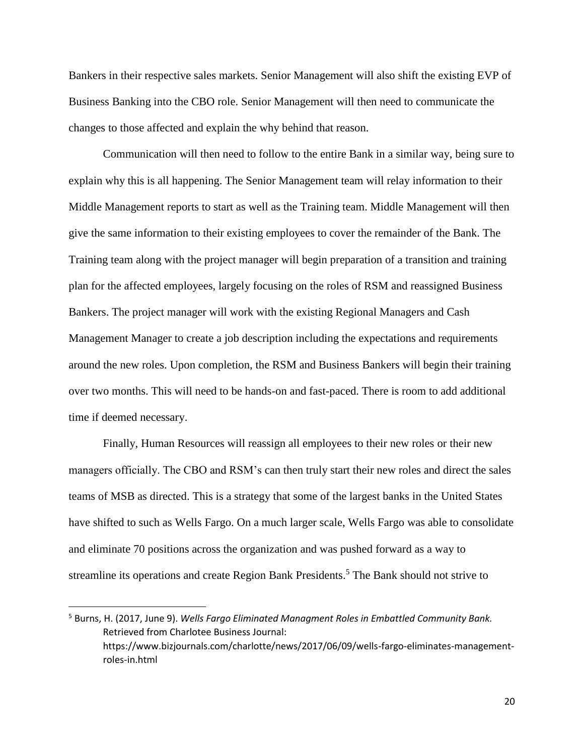Bankers in their respective sales markets. Senior Management will also shift the existing EVP of Business Banking into the CBO role. Senior Management will then need to communicate the changes to those affected and explain the why behind that reason.

Communication will then need to follow to the entire Bank in a similar way, being sure to explain why this is all happening. The Senior Management team will relay information to their Middle Management reports to start as well as the Training team. Middle Management will then give the same information to their existing employees to cover the remainder of the Bank. The Training team along with the project manager will begin preparation of a transition and training plan for the affected employees, largely focusing on the roles of RSM and reassigned Business Bankers. The project manager will work with the existing Regional Managers and Cash Management Manager to create a job description including the expectations and requirements around the new roles. Upon completion, the RSM and Business Bankers will begin their training over two months. This will need to be hands-on and fast-paced. There is room to add additional time if deemed necessary.

Finally, Human Resources will reassign all employees to their new roles or their new managers officially. The CBO and RSM's can then truly start their new roles and direct the sales teams of MSB as directed. This is a strategy that some of the largest banks in the United States have shifted to such as Wells Fargo. On a much larger scale, Wells Fargo was able to consolidate and eliminate 70 positions across the organization and was pushed forward as a way to streamline its operations and create Region Bank Presidents.<sup>5</sup> The Bank should not strive to

l

<sup>5</sup> Burns, H. (2017, June 9). *Wells Fargo Eliminated Managment Roles in Embattled Community Bank.* Retrieved from Charlotee Business Journal: https://www.bizjournals.com/charlotte/news/2017/06/09/wells-fargo-eliminates-managementroles-in.html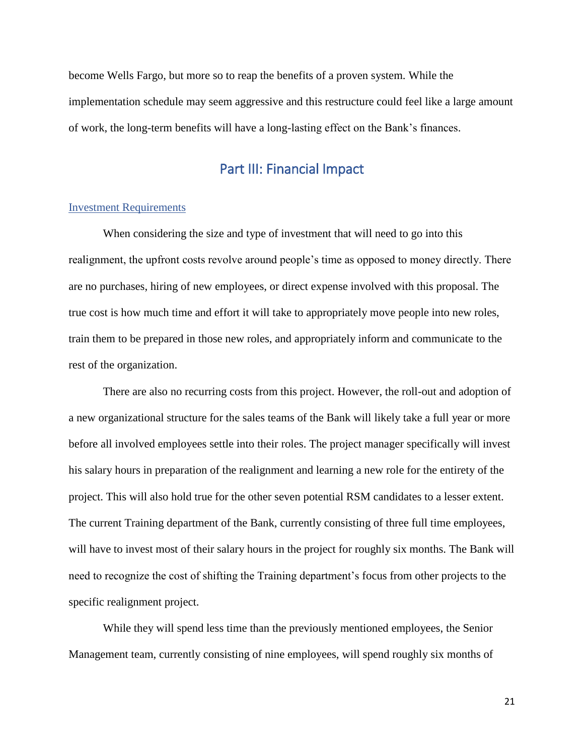become Wells Fargo, but more so to reap the benefits of a proven system. While the implementation schedule may seem aggressive and this restructure could feel like a large amount of work, the long-term benefits will have a long-lasting effect on the Bank's finances.

## Part III: Financial Impact

#### <span id="page-22-1"></span><span id="page-22-0"></span>Investment Requirements

When considering the size and type of investment that will need to go into this realignment, the upfront costs revolve around people's time as opposed to money directly. There are no purchases, hiring of new employees, or direct expense involved with this proposal. The true cost is how much time and effort it will take to appropriately move people into new roles, train them to be prepared in those new roles, and appropriately inform and communicate to the rest of the organization.

There are also no recurring costs from this project. However, the roll-out and adoption of a new organizational structure for the sales teams of the Bank will likely take a full year or more before all involved employees settle into their roles. The project manager specifically will invest his salary hours in preparation of the realignment and learning a new role for the entirety of the project. This will also hold true for the other seven potential RSM candidates to a lesser extent. The current Training department of the Bank, currently consisting of three full time employees, will have to invest most of their salary hours in the project for roughly six months. The Bank will need to recognize the cost of shifting the Training department's focus from other projects to the specific realignment project.

While they will spend less time than the previously mentioned employees, the Senior Management team, currently consisting of nine employees, will spend roughly six months of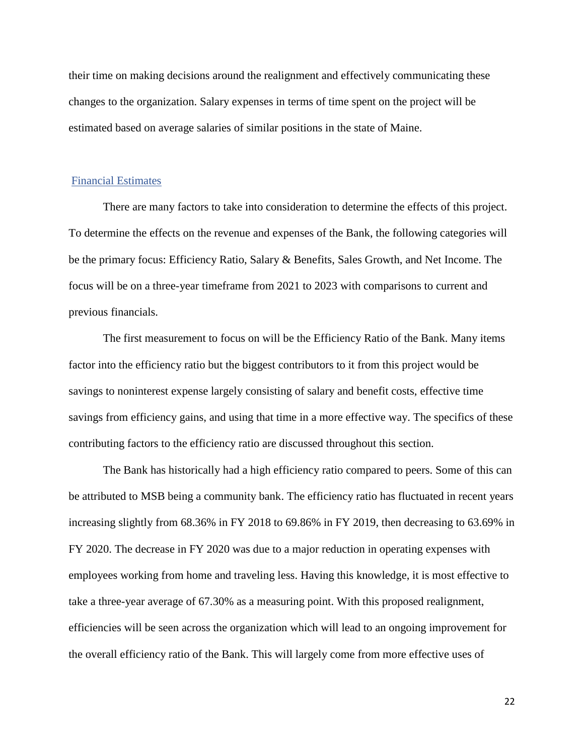their time on making decisions around the realignment and effectively communicating these changes to the organization. Salary expenses in terms of time spent on the project will be estimated based on average salaries of similar positions in the state of Maine.

#### <span id="page-23-0"></span>Financial Estimates

There are many factors to take into consideration to determine the effects of this project. To determine the effects on the revenue and expenses of the Bank, the following categories will be the primary focus: Efficiency Ratio, Salary & Benefits, Sales Growth, and Net Income. The focus will be on a three-year timeframe from 2021 to 2023 with comparisons to current and previous financials.

The first measurement to focus on will be the Efficiency Ratio of the Bank. Many items factor into the efficiency ratio but the biggest contributors to it from this project would be savings to noninterest expense largely consisting of salary and benefit costs, effective time savings from efficiency gains, and using that time in a more effective way. The specifics of these contributing factors to the efficiency ratio are discussed throughout this section.

The Bank has historically had a high efficiency ratio compared to peers. Some of this can be attributed to MSB being a community bank. The efficiency ratio has fluctuated in recent years increasing slightly from 68.36% in FY 2018 to 69.86% in FY 2019, then decreasing to 63.69% in FY 2020. The decrease in FY 2020 was due to a major reduction in operating expenses with employees working from home and traveling less. Having this knowledge, it is most effective to take a three-year average of 67.30% as a measuring point. With this proposed realignment, efficiencies will be seen across the organization which will lead to an ongoing improvement for the overall efficiency ratio of the Bank. This will largely come from more effective uses of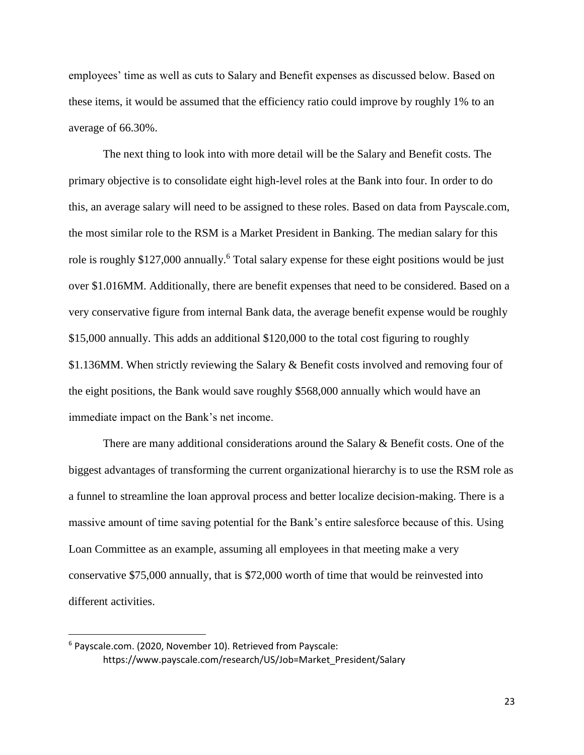employees' time as well as cuts to Salary and Benefit expenses as discussed below. Based on these items, it would be assumed that the efficiency ratio could improve by roughly 1% to an average of 66.30%.

The next thing to look into with more detail will be the Salary and Benefit costs. The primary objective is to consolidate eight high-level roles at the Bank into four. In order to do this, an average salary will need to be assigned to these roles. Based on data from Payscale.com, the most similar role to the RSM is a Market President in Banking. The median salary for this role is roughly \$127,000 annually.<sup>6</sup> Total salary expense for these eight positions would be just over \$1.016MM. Additionally, there are benefit expenses that need to be considered. Based on a very conservative figure from internal Bank data, the average benefit expense would be roughly \$15,000 annually. This adds an additional \$120,000 to the total cost figuring to roughly \$1.136MM. When strictly reviewing the Salary & Benefit costs involved and removing four of the eight positions, the Bank would save roughly \$568,000 annually which would have an immediate impact on the Bank's net income.

There are many additional considerations around the Salary & Benefit costs. One of the biggest advantages of transforming the current organizational hierarchy is to use the RSM role as a funnel to streamline the loan approval process and better localize decision-making. There is a massive amount of time saving potential for the Bank's entire salesforce because of this. Using Loan Committee as an example, assuming all employees in that meeting make a very conservative \$75,000 annually, that is \$72,000 worth of time that would be reinvested into different activities.

l

<sup>6</sup> Payscale.com. (2020, November 10). Retrieved from Payscale: https://www.payscale.com/research/US/Job=Market\_President/Salary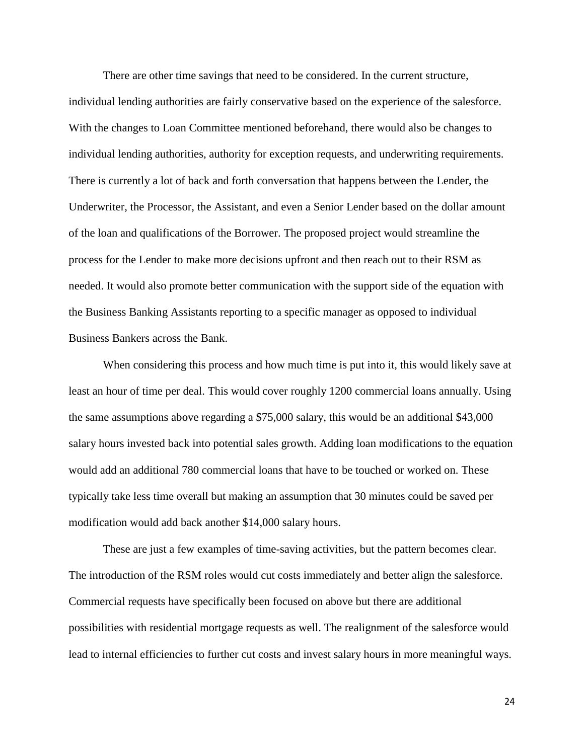There are other time savings that need to be considered. In the current structure, individual lending authorities are fairly conservative based on the experience of the salesforce. With the changes to Loan Committee mentioned beforehand, there would also be changes to individual lending authorities, authority for exception requests, and underwriting requirements. There is currently a lot of back and forth conversation that happens between the Lender, the Underwriter, the Processor, the Assistant, and even a Senior Lender based on the dollar amount of the loan and qualifications of the Borrower. The proposed project would streamline the process for the Lender to make more decisions upfront and then reach out to their RSM as needed. It would also promote better communication with the support side of the equation with the Business Banking Assistants reporting to a specific manager as opposed to individual Business Bankers across the Bank.

When considering this process and how much time is put into it, this would likely save at least an hour of time per deal. This would cover roughly 1200 commercial loans annually. Using the same assumptions above regarding a \$75,000 salary, this would be an additional \$43,000 salary hours invested back into potential sales growth. Adding loan modifications to the equation would add an additional 780 commercial loans that have to be touched or worked on. These typically take less time overall but making an assumption that 30 minutes could be saved per modification would add back another \$14,000 salary hours.

These are just a few examples of time-saving activities, but the pattern becomes clear. The introduction of the RSM roles would cut costs immediately and better align the salesforce. Commercial requests have specifically been focused on above but there are additional possibilities with residential mortgage requests as well. The realignment of the salesforce would lead to internal efficiencies to further cut costs and invest salary hours in more meaningful ways.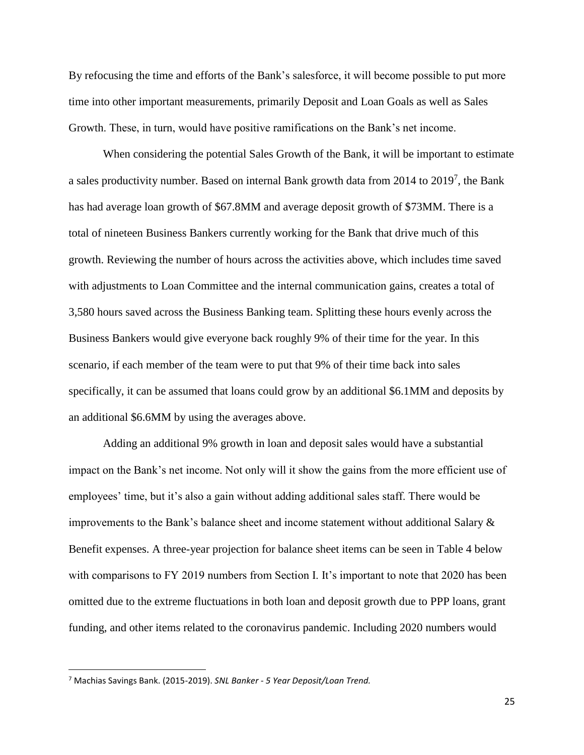By refocusing the time and efforts of the Bank's salesforce, it will become possible to put more time into other important measurements, primarily Deposit and Loan Goals as well as Sales Growth. These, in turn, would have positive ramifications on the Bank's net income.

When considering the potential Sales Growth of the Bank, it will be important to estimate a sales productivity number. Based on internal Bank growth data from 2014 to  $2019<sup>7</sup>$ , the Bank has had average loan growth of \$67.8MM and average deposit growth of \$73MM. There is a total of nineteen Business Bankers currently working for the Bank that drive much of this growth. Reviewing the number of hours across the activities above, which includes time saved with adjustments to Loan Committee and the internal communication gains, creates a total of 3,580 hours saved across the Business Banking team. Splitting these hours evenly across the Business Bankers would give everyone back roughly 9% of their time for the year. In this scenario, if each member of the team were to put that 9% of their time back into sales specifically, it can be assumed that loans could grow by an additional \$6.1MM and deposits by an additional \$6.6MM by using the averages above.

Adding an additional 9% growth in loan and deposit sales would have a substantial impact on the Bank's net income. Not only will it show the gains from the more efficient use of employees' time, but it's also a gain without adding additional sales staff. There would be improvements to the Bank's balance sheet and income statement without additional Salary & Benefit expenses. A three-year projection for balance sheet items can be seen in Table 4 below with comparisons to FY 2019 numbers from Section I. It's important to note that 2020 has been omitted due to the extreme fluctuations in both loan and deposit growth due to PPP loans, grant funding, and other items related to the coronavirus pandemic. Including 2020 numbers would

 $\overline{\phantom{a}}$ 

<sup>7</sup> Machias Savings Bank. (2015-2019). *SNL Banker - 5 Year Deposit/Loan Trend.*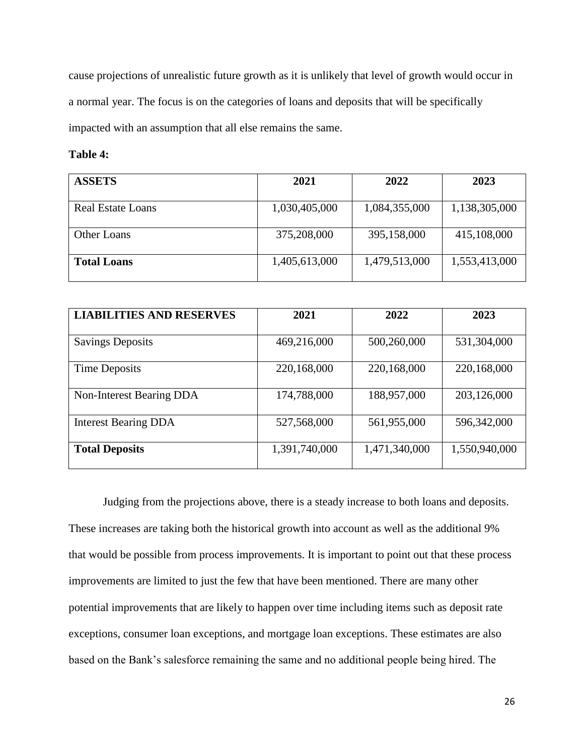cause projections of unrealistic future growth as it is unlikely that level of growth would occur in a normal year. The focus is on the categories of loans and deposits that will be specifically impacted with an assumption that all else remains the same.

#### **Table 4:**

| <b>ASSETS</b>            | 2021          | 2022          | 2023          |
|--------------------------|---------------|---------------|---------------|
|                          |               |               |               |
| <b>Real Estate Loans</b> | 1,030,405,000 | 1,084,355,000 | 1,138,305,000 |
|                          |               |               |               |
| Other Loans              | 375,208,000   | 395,158,000   | 415,108,000   |
| <b>Total Loans</b>       | 1,405,613,000 | 1,479,513,000 | 1,553,413,000 |

| <b>LIABILITIES AND RESERVES</b> | 2021          | 2022          | 2023          |
|---------------------------------|---------------|---------------|---------------|
|                                 |               |               |               |
| <b>Savings Deposits</b>         | 469,216,000   | 500,260,000   | 531,304,000   |
|                                 |               |               |               |
| Time Deposits                   | 220,168,000   | 220,168,000   | 220,168,000   |
|                                 |               |               |               |
| Non-Interest Bearing DDA        | 174,788,000   | 188,957,000   | 203,126,000   |
| <b>Interest Bearing DDA</b>     | 527,568,000   | 561,955,000   | 596,342,000   |
| <b>Total Deposits</b>           | 1,391,740,000 | 1,471,340,000 | 1,550,940,000 |

Judging from the projections above, there is a steady increase to both loans and deposits. These increases are taking both the historical growth into account as well as the additional 9% that would be possible from process improvements. It is important to point out that these process improvements are limited to just the few that have been mentioned. There are many other potential improvements that are likely to happen over time including items such as deposit rate exceptions, consumer loan exceptions, and mortgage loan exceptions. These estimates are also based on the Bank's salesforce remaining the same and no additional people being hired. The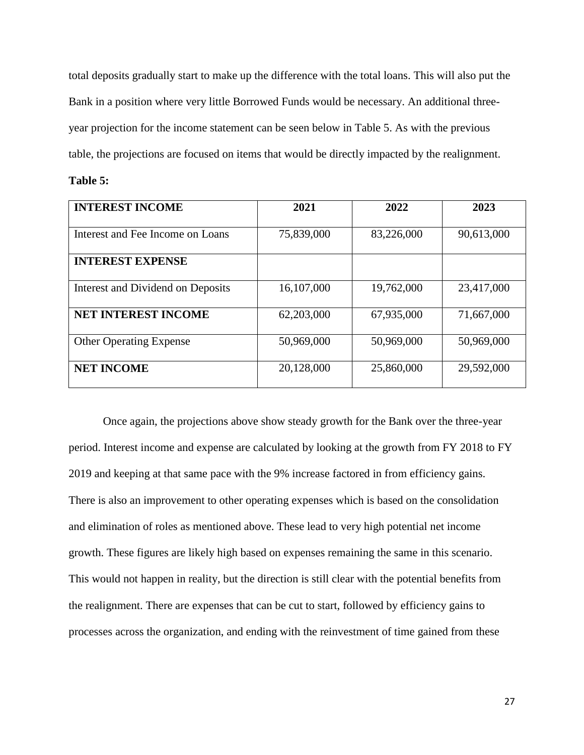total deposits gradually start to make up the difference with the total loans. This will also put the Bank in a position where very little Borrowed Funds would be necessary. An additional threeyear projection for the income statement can be seen below in Table 5. As with the previous table, the projections are focused on items that would be directly impacted by the realignment.

|  | able |  |  |
|--|------|--|--|
|--|------|--|--|

| <b>INTEREST INCOME</b>            | 2021       | 2022       | 2023       |
|-----------------------------------|------------|------------|------------|
| Interest and Fee Income on Loans  | 75,839,000 | 83,226,000 | 90,613,000 |
| <b>INTEREST EXPENSE</b>           |            |            |            |
| Interest and Dividend on Deposits | 16,107,000 | 19,762,000 | 23,417,000 |
| <b>NET INTEREST INCOME</b>        | 62,203,000 | 67,935,000 | 71,667,000 |
| <b>Other Operating Expense</b>    | 50,969,000 | 50,969,000 | 50,969,000 |
| <b>NET INCOME</b>                 | 20,128,000 | 25,860,000 | 29,592,000 |

Once again, the projections above show steady growth for the Bank over the three-year period. Interest income and expense are calculated by looking at the growth from FY 2018 to FY 2019 and keeping at that same pace with the 9% increase factored in from efficiency gains. There is also an improvement to other operating expenses which is based on the consolidation and elimination of roles as mentioned above. These lead to very high potential net income growth. These figures are likely high based on expenses remaining the same in this scenario. This would not happen in reality, but the direction is still clear with the potential benefits from the realignment. There are expenses that can be cut to start, followed by efficiency gains to processes across the organization, and ending with the reinvestment of time gained from these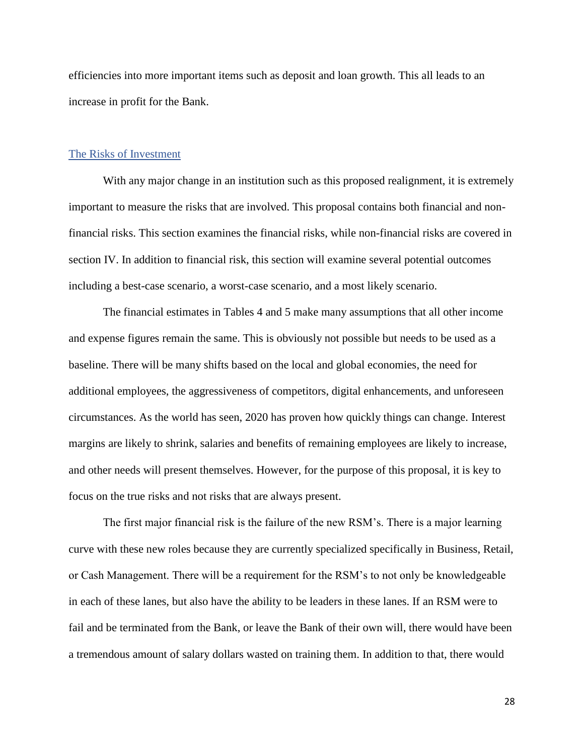efficiencies into more important items such as deposit and loan growth. This all leads to an increase in profit for the Bank.

#### <span id="page-29-0"></span>The Risks of Investment

With any major change in an institution such as this proposed realignment, it is extremely important to measure the risks that are involved. This proposal contains both financial and nonfinancial risks. This section examines the financial risks, while non-financial risks are covered in section IV. In addition to financial risk, this section will examine several potential outcomes including a best-case scenario, a worst-case scenario, and a most likely scenario.

The financial estimates in Tables 4 and 5 make many assumptions that all other income and expense figures remain the same. This is obviously not possible but needs to be used as a baseline. There will be many shifts based on the local and global economies, the need for additional employees, the aggressiveness of competitors, digital enhancements, and unforeseen circumstances. As the world has seen, 2020 has proven how quickly things can change. Interest margins are likely to shrink, salaries and benefits of remaining employees are likely to increase, and other needs will present themselves. However, for the purpose of this proposal, it is key to focus on the true risks and not risks that are always present.

The first major financial risk is the failure of the new RSM's. There is a major learning curve with these new roles because they are currently specialized specifically in Business, Retail, or Cash Management. There will be a requirement for the RSM's to not only be knowledgeable in each of these lanes, but also have the ability to be leaders in these lanes. If an RSM were to fail and be terminated from the Bank, or leave the Bank of their own will, there would have been a tremendous amount of salary dollars wasted on training them. In addition to that, there would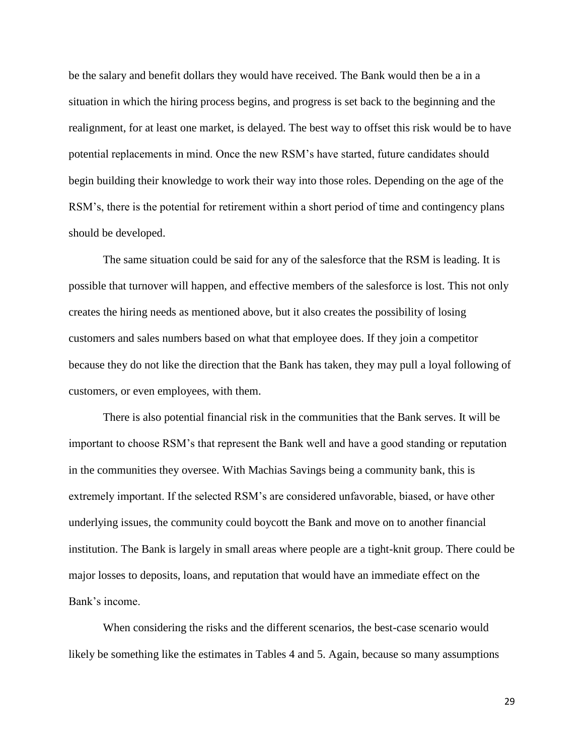be the salary and benefit dollars they would have received. The Bank would then be a in a situation in which the hiring process begins, and progress is set back to the beginning and the realignment, for at least one market, is delayed. The best way to offset this risk would be to have potential replacements in mind. Once the new RSM's have started, future candidates should begin building their knowledge to work their way into those roles. Depending on the age of the RSM's, there is the potential for retirement within a short period of time and contingency plans should be developed.

The same situation could be said for any of the salesforce that the RSM is leading. It is possible that turnover will happen, and effective members of the salesforce is lost. This not only creates the hiring needs as mentioned above, but it also creates the possibility of losing customers and sales numbers based on what that employee does. If they join a competitor because they do not like the direction that the Bank has taken, they may pull a loyal following of customers, or even employees, with them.

There is also potential financial risk in the communities that the Bank serves. It will be important to choose RSM's that represent the Bank well and have a good standing or reputation in the communities they oversee. With Machias Savings being a community bank, this is extremely important. If the selected RSM's are considered unfavorable, biased, or have other underlying issues, the community could boycott the Bank and move on to another financial institution. The Bank is largely in small areas where people are a tight-knit group. There could be major losses to deposits, loans, and reputation that would have an immediate effect on the Bank's income.

When considering the risks and the different scenarios, the best-case scenario would likely be something like the estimates in Tables 4 and 5. Again, because so many assumptions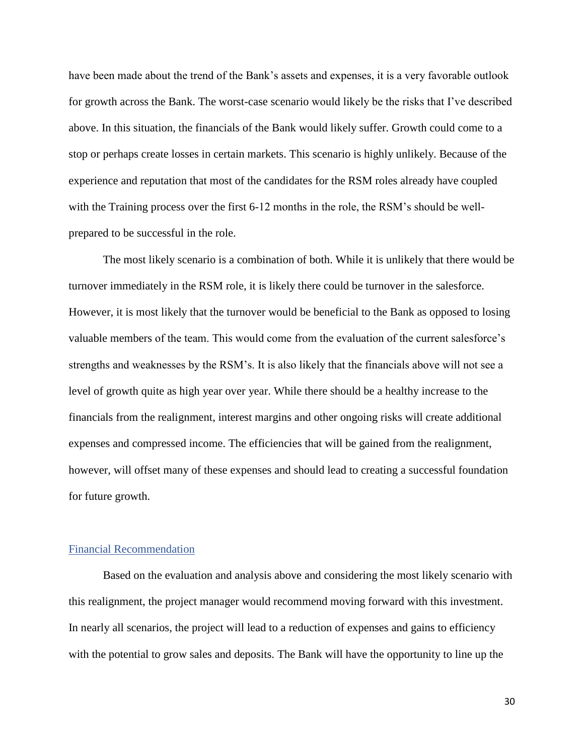have been made about the trend of the Bank's assets and expenses, it is a very favorable outlook for growth across the Bank. The worst-case scenario would likely be the risks that I've described above. In this situation, the financials of the Bank would likely suffer. Growth could come to a stop or perhaps create losses in certain markets. This scenario is highly unlikely. Because of the experience and reputation that most of the candidates for the RSM roles already have coupled with the Training process over the first 6-12 months in the role, the RSM's should be wellprepared to be successful in the role.

The most likely scenario is a combination of both. While it is unlikely that there would be turnover immediately in the RSM role, it is likely there could be turnover in the salesforce. However, it is most likely that the turnover would be beneficial to the Bank as opposed to losing valuable members of the team. This would come from the evaluation of the current salesforce's strengths and weaknesses by the RSM's. It is also likely that the financials above will not see a level of growth quite as high year over year. While there should be a healthy increase to the financials from the realignment, interest margins and other ongoing risks will create additional expenses and compressed income. The efficiencies that will be gained from the realignment, however, will offset many of these expenses and should lead to creating a successful foundation for future growth.

#### <span id="page-31-0"></span>Financial Recommendation

Based on the evaluation and analysis above and considering the most likely scenario with this realignment, the project manager would recommend moving forward with this investment. In nearly all scenarios, the project will lead to a reduction of expenses and gains to efficiency with the potential to grow sales and deposits. The Bank will have the opportunity to line up the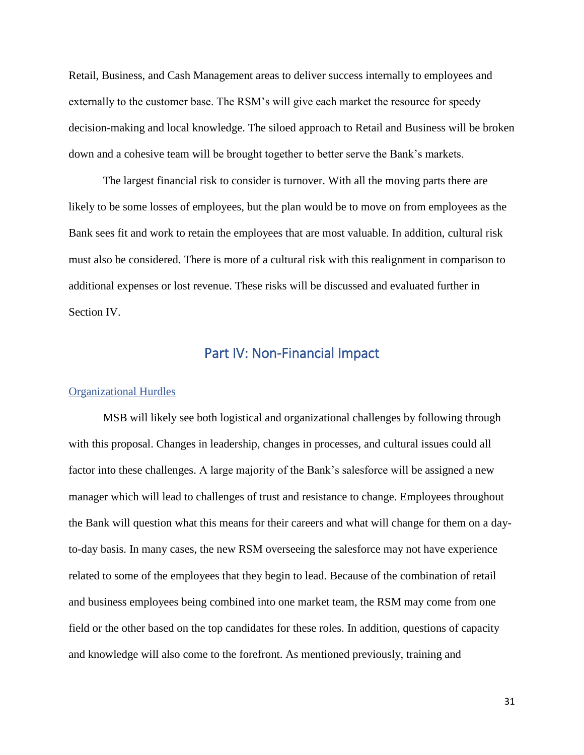Retail, Business, and Cash Management areas to deliver success internally to employees and externally to the customer base. The RSM's will give each market the resource for speedy decision-making and local knowledge. The siloed approach to Retail and Business will be broken down and a cohesive team will be brought together to better serve the Bank's markets.

The largest financial risk to consider is turnover. With all the moving parts there are likely to be some losses of employees, but the plan would be to move on from employees as the Bank sees fit and work to retain the employees that are most valuable. In addition, cultural risk must also be considered. There is more of a cultural risk with this realignment in comparison to additional expenses or lost revenue. These risks will be discussed and evaluated further in Section IV.

## Part IV: Non-Financial Impact

#### <span id="page-32-1"></span><span id="page-32-0"></span>Organizational Hurdles

MSB will likely see both logistical and organizational challenges by following through with this proposal. Changes in leadership, changes in processes, and cultural issues could all factor into these challenges. A large majority of the Bank's salesforce will be assigned a new manager which will lead to challenges of trust and resistance to change. Employees throughout the Bank will question what this means for their careers and what will change for them on a dayto-day basis. In many cases, the new RSM overseeing the salesforce may not have experience related to some of the employees that they begin to lead. Because of the combination of retail and business employees being combined into one market team, the RSM may come from one field or the other based on the top candidates for these roles. In addition, questions of capacity and knowledge will also come to the forefront. As mentioned previously, training and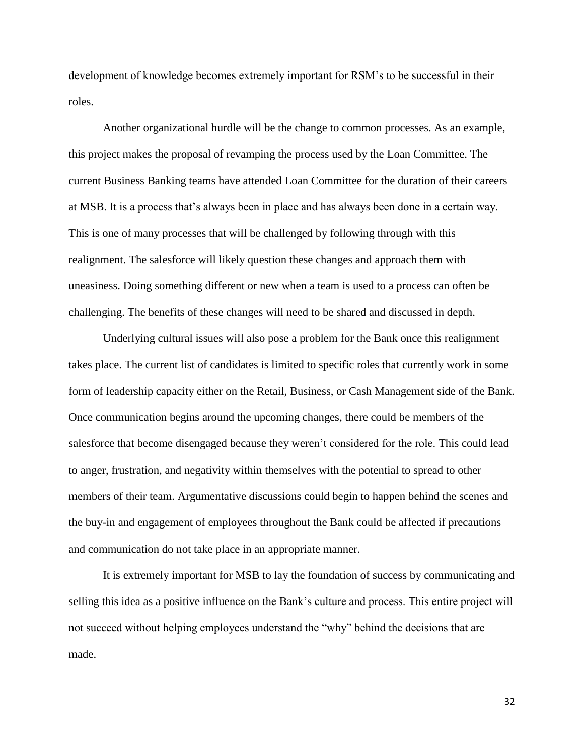development of knowledge becomes extremely important for RSM's to be successful in their roles.

Another organizational hurdle will be the change to common processes. As an example, this project makes the proposal of revamping the process used by the Loan Committee. The current Business Banking teams have attended Loan Committee for the duration of their careers at MSB. It is a process that's always been in place and has always been done in a certain way. This is one of many processes that will be challenged by following through with this realignment. The salesforce will likely question these changes and approach them with uneasiness. Doing something different or new when a team is used to a process can often be challenging. The benefits of these changes will need to be shared and discussed in depth.

Underlying cultural issues will also pose a problem for the Bank once this realignment takes place. The current list of candidates is limited to specific roles that currently work in some form of leadership capacity either on the Retail, Business, or Cash Management side of the Bank. Once communication begins around the upcoming changes, there could be members of the salesforce that become disengaged because they weren't considered for the role. This could lead to anger, frustration, and negativity within themselves with the potential to spread to other members of their team. Argumentative discussions could begin to happen behind the scenes and the buy-in and engagement of employees throughout the Bank could be affected if precautions and communication do not take place in an appropriate manner.

It is extremely important for MSB to lay the foundation of success by communicating and selling this idea as a positive influence on the Bank's culture and process. This entire project will not succeed without helping employees understand the "why" behind the decisions that are made.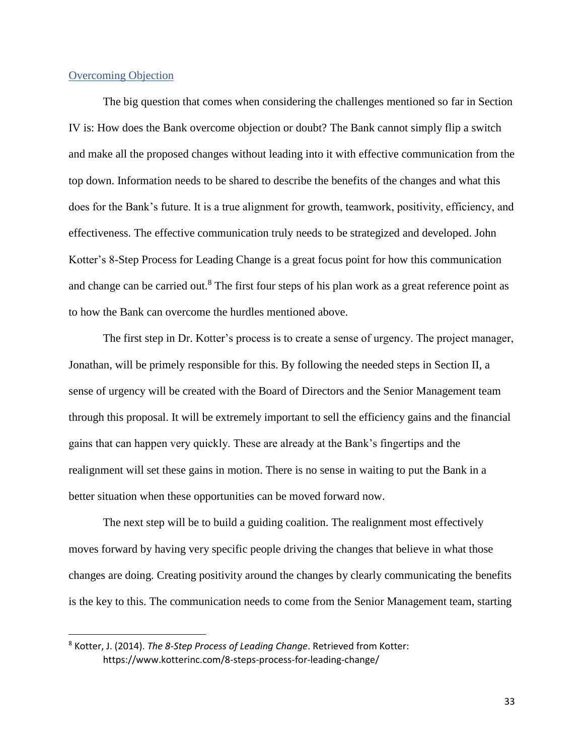#### <span id="page-34-0"></span>Overcoming Objection

l

The big question that comes when considering the challenges mentioned so far in Section IV is: How does the Bank overcome objection or doubt? The Bank cannot simply flip a switch and make all the proposed changes without leading into it with effective communication from the top down. Information needs to be shared to describe the benefits of the changes and what this does for the Bank's future. It is a true alignment for growth, teamwork, positivity, efficiency, and effectiveness. The effective communication truly needs to be strategized and developed. John Kotter's 8-Step Process for Leading Change is a great focus point for how this communication and change can be carried out.<sup>8</sup> The first four steps of his plan work as a great reference point as to how the Bank can overcome the hurdles mentioned above.

The first step in Dr. Kotter's process is to create a sense of urgency. The project manager, Jonathan, will be primely responsible for this. By following the needed steps in Section II, a sense of urgency will be created with the Board of Directors and the Senior Management team through this proposal. It will be extremely important to sell the efficiency gains and the financial gains that can happen very quickly. These are already at the Bank's fingertips and the realignment will set these gains in motion. There is no sense in waiting to put the Bank in a better situation when these opportunities can be moved forward now.

The next step will be to build a guiding coalition. The realignment most effectively moves forward by having very specific people driving the changes that believe in what those changes are doing. Creating positivity around the changes by clearly communicating the benefits is the key to this. The communication needs to come from the Senior Management team, starting

<sup>8</sup> Kotter, J. (2014). *The 8-Step Process of Leading Change*. Retrieved from Kotter: https://www.kotterinc.com/8-steps-process-for-leading-change/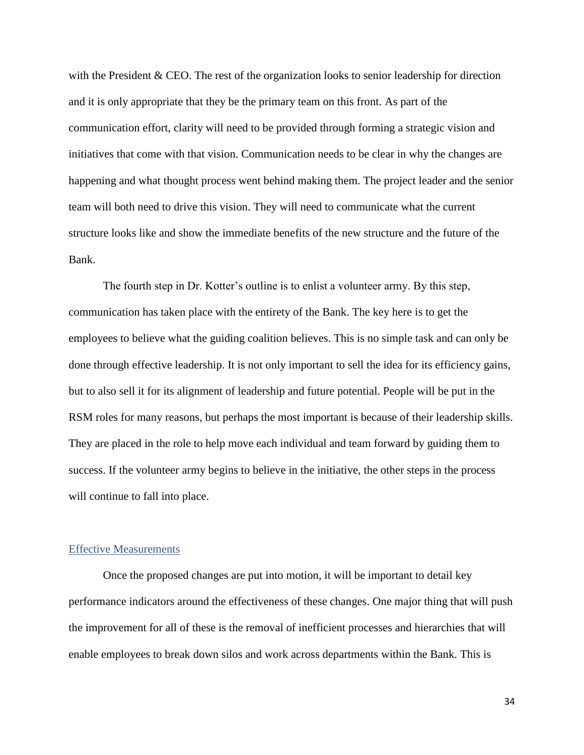with the President & CEO. The rest of the organization looks to senior leadership for direction and it is only appropriate that they be the primary team on this front. As part of the communication effort, clarity will need to be provided through forming a strategic vision and initiatives that come with that vision. Communication needs to be clear in why the changes are happening and what thought process went behind making them. The project leader and the senior team will both need to drive this vision. They will need to communicate what the current structure looks like and show the immediate benefits of the new structure and the future of the Bank.

The fourth step in Dr. Kotter's outline is to enlist a volunteer army. By this step, communication has taken place with the entirety of the Bank. The key here is to get the employees to believe what the guiding coalition believes. This is no simple task and can only be done through effective leadership. It is not only important to sell the idea for its efficiency gains, but to also sell it for its alignment of leadership and future potential. People will be put in the RSM roles for many reasons, but perhaps the most important is because of their leadership skills. They are placed in the role to help move each individual and team forward by guiding them to success. If the volunteer army begins to believe in the initiative, the other steps in the process will continue to fall into place.

#### <span id="page-35-0"></span>Effective Measurements

Once the proposed changes are put into motion, it will be important to detail key performance indicators around the effectiveness of these changes. One major thing that will push the improvement for all of these is the removal of inefficient processes and hierarchies that will enable employees to break down silos and work across departments within the Bank. This is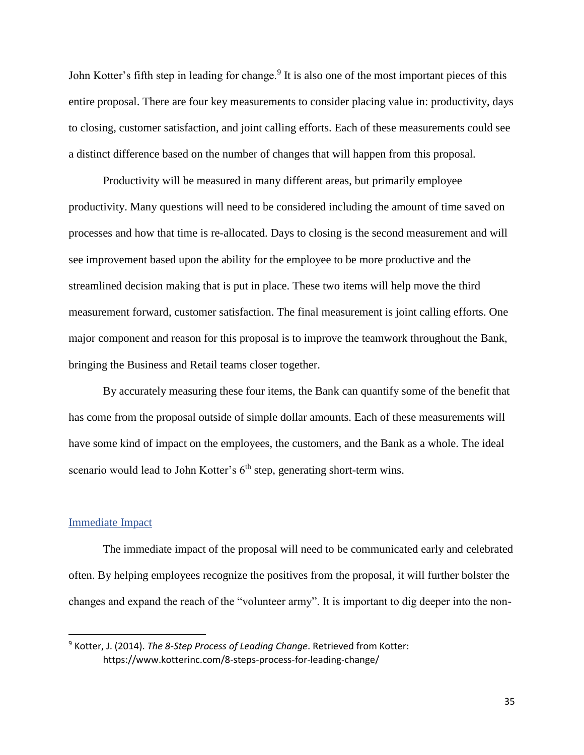John Kotter's fifth step in leading for change.<sup>9</sup> It is also one of the most important pieces of this entire proposal. There are four key measurements to consider placing value in: productivity, days to closing, customer satisfaction, and joint calling efforts. Each of these measurements could see a distinct difference based on the number of changes that will happen from this proposal.

Productivity will be measured in many different areas, but primarily employee productivity. Many questions will need to be considered including the amount of time saved on processes and how that time is re-allocated. Days to closing is the second measurement and will see improvement based upon the ability for the employee to be more productive and the streamlined decision making that is put in place. These two items will help move the third measurement forward, customer satisfaction. The final measurement is joint calling efforts. One major component and reason for this proposal is to improve the teamwork throughout the Bank, bringing the Business and Retail teams closer together.

By accurately measuring these four items, the Bank can quantify some of the benefit that has come from the proposal outside of simple dollar amounts. Each of these measurements will have some kind of impact on the employees, the customers, and the Bank as a whole. The ideal scenario would lead to John Kotter's  $6<sup>th</sup>$  step, generating short-term wins.

#### <span id="page-36-0"></span>Immediate Impact

l

The immediate impact of the proposal will need to be communicated early and celebrated often. By helping employees recognize the positives from the proposal, it will further bolster the changes and expand the reach of the "volunteer army". It is important to dig deeper into the non-

<sup>9</sup> Kotter, J. (2014). *The 8-Step Process of Leading Change*. Retrieved from Kotter: https://www.kotterinc.com/8-steps-process-for-leading-change/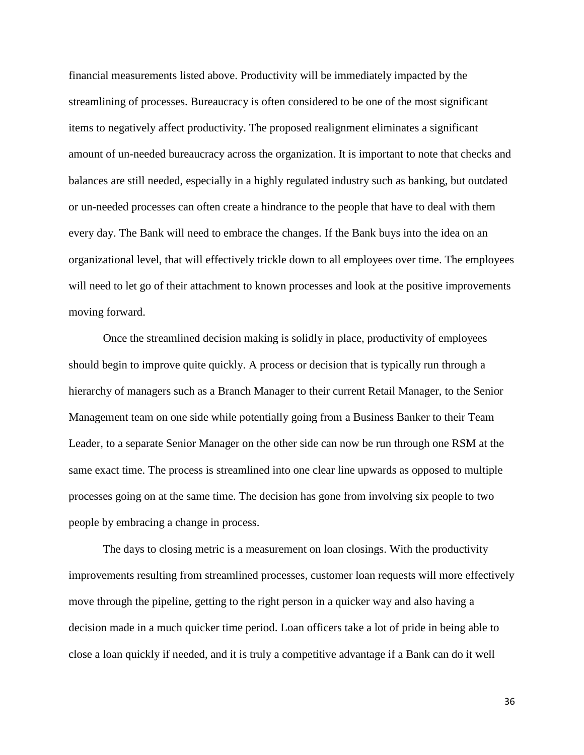financial measurements listed above. Productivity will be immediately impacted by the streamlining of processes. Bureaucracy is often considered to be one of the most significant items to negatively affect productivity. The proposed realignment eliminates a significant amount of un-needed bureaucracy across the organization. It is important to note that checks and balances are still needed, especially in a highly regulated industry such as banking, but outdated or un-needed processes can often create a hindrance to the people that have to deal with them every day. The Bank will need to embrace the changes. If the Bank buys into the idea on an organizational level, that will effectively trickle down to all employees over time. The employees will need to let go of their attachment to known processes and look at the positive improvements moving forward.

Once the streamlined decision making is solidly in place, productivity of employees should begin to improve quite quickly. A process or decision that is typically run through a hierarchy of managers such as a Branch Manager to their current Retail Manager, to the Senior Management team on one side while potentially going from a Business Banker to their Team Leader, to a separate Senior Manager on the other side can now be run through one RSM at the same exact time. The process is streamlined into one clear line upwards as opposed to multiple processes going on at the same time. The decision has gone from involving six people to two people by embracing a change in process.

The days to closing metric is a measurement on loan closings. With the productivity improvements resulting from streamlined processes, customer loan requests will more effectively move through the pipeline, getting to the right person in a quicker way and also having a decision made in a much quicker time period. Loan officers take a lot of pride in being able to close a loan quickly if needed, and it is truly a competitive advantage if a Bank can do it well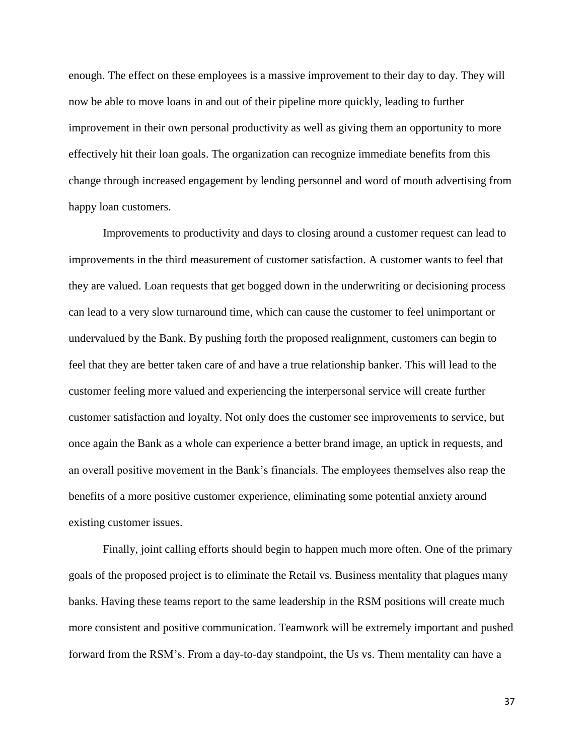enough. The effect on these employees is a massive improvement to their day to day. They will now be able to move loans in and out of their pipeline more quickly, leading to further improvement in their own personal productivity as well as giving them an opportunity to more effectively hit their loan goals. The organization can recognize immediate benefits from this change through increased engagement by lending personnel and word of mouth advertising from happy loan customers.

Improvements to productivity and days to closing around a customer request can lead to improvements in the third measurement of customer satisfaction. A customer wants to feel that they are valued. Loan requests that get bogged down in the underwriting or decisioning process can lead to a very slow turnaround time, which can cause the customer to feel unimportant or undervalued by the Bank. By pushing forth the proposed realignment, customers can begin to feel that they are better taken care of and have a true relationship banker. This will lead to the customer feeling more valued and experiencing the interpersonal service will create further customer satisfaction and loyalty. Not only does the customer see improvements to service, but once again the Bank as a whole can experience a better brand image, an uptick in requests, and an overall positive movement in the Bank's financials. The employees themselves also reap the benefits of a more positive customer experience, eliminating some potential anxiety around existing customer issues.

Finally, joint calling efforts should begin to happen much more often. One of the primary goals of the proposed project is to eliminate the Retail vs. Business mentality that plagues many banks. Having these teams report to the same leadership in the RSM positions will create much more consistent and positive communication. Teamwork will be extremely important and pushed forward from the RSM's. From a day-to-day standpoint, the Us vs. Them mentality can have a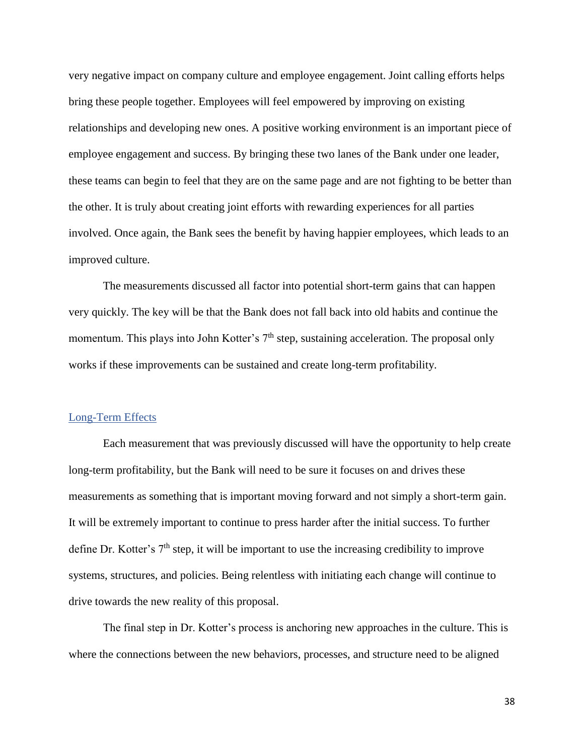very negative impact on company culture and employee engagement. Joint calling efforts helps bring these people together. Employees will feel empowered by improving on existing relationships and developing new ones. A positive working environment is an important piece of employee engagement and success. By bringing these two lanes of the Bank under one leader, these teams can begin to feel that they are on the same page and are not fighting to be better than the other. It is truly about creating joint efforts with rewarding experiences for all parties involved. Once again, the Bank sees the benefit by having happier employees, which leads to an improved culture.

The measurements discussed all factor into potential short-term gains that can happen very quickly. The key will be that the Bank does not fall back into old habits and continue the momentum. This plays into John Kotter's 7<sup>th</sup> step, sustaining acceleration. The proposal only works if these improvements can be sustained and create long-term profitability.

#### <span id="page-39-0"></span>Long-Term Effects

Each measurement that was previously discussed will have the opportunity to help create long-term profitability, but the Bank will need to be sure it focuses on and drives these measurements as something that is important moving forward and not simply a short-term gain. It will be extremely important to continue to press harder after the initial success. To further define Dr. Kotter's 7<sup>th</sup> step, it will be important to use the increasing credibility to improve systems, structures, and policies. Being relentless with initiating each change will continue to drive towards the new reality of this proposal.

The final step in Dr. Kotter's process is anchoring new approaches in the culture. This is where the connections between the new behaviors, processes, and structure need to be aligned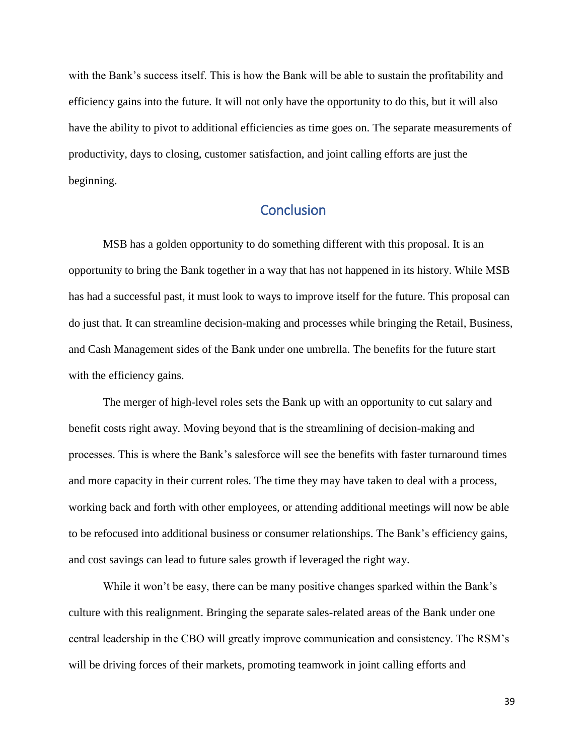with the Bank's success itself. This is how the Bank will be able to sustain the profitability and efficiency gains into the future. It will not only have the opportunity to do this, but it will also have the ability to pivot to additional efficiencies as time goes on. The separate measurements of productivity, days to closing, customer satisfaction, and joint calling efforts are just the beginning.

## <span id="page-40-0"></span>**Conclusion**

MSB has a golden opportunity to do something different with this proposal. It is an opportunity to bring the Bank together in a way that has not happened in its history. While MSB has had a successful past, it must look to ways to improve itself for the future. This proposal can do just that. It can streamline decision-making and processes while bringing the Retail, Business, and Cash Management sides of the Bank under one umbrella. The benefits for the future start with the efficiency gains.

The merger of high-level roles sets the Bank up with an opportunity to cut salary and benefit costs right away. Moving beyond that is the streamlining of decision-making and processes. This is where the Bank's salesforce will see the benefits with faster turnaround times and more capacity in their current roles. The time they may have taken to deal with a process, working back and forth with other employees, or attending additional meetings will now be able to be refocused into additional business or consumer relationships. The Bank's efficiency gains, and cost savings can lead to future sales growth if leveraged the right way.

While it won't be easy, there can be many positive changes sparked within the Bank's culture with this realignment. Bringing the separate sales-related areas of the Bank under one central leadership in the CBO will greatly improve communication and consistency. The RSM's will be driving forces of their markets, promoting teamwork in joint calling efforts and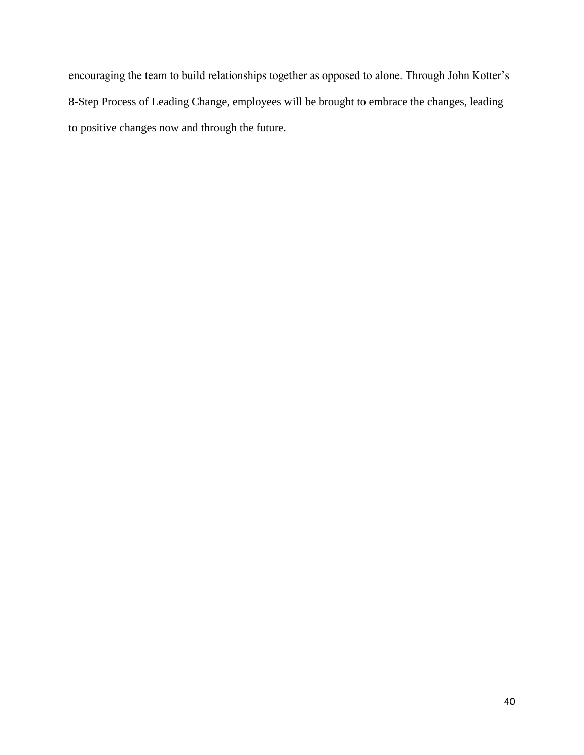encouraging the team to build relationships together as opposed to alone. Through John Kotter's 8-Step Process of Leading Change, employees will be brought to embrace the changes, leading to positive changes now and through the future.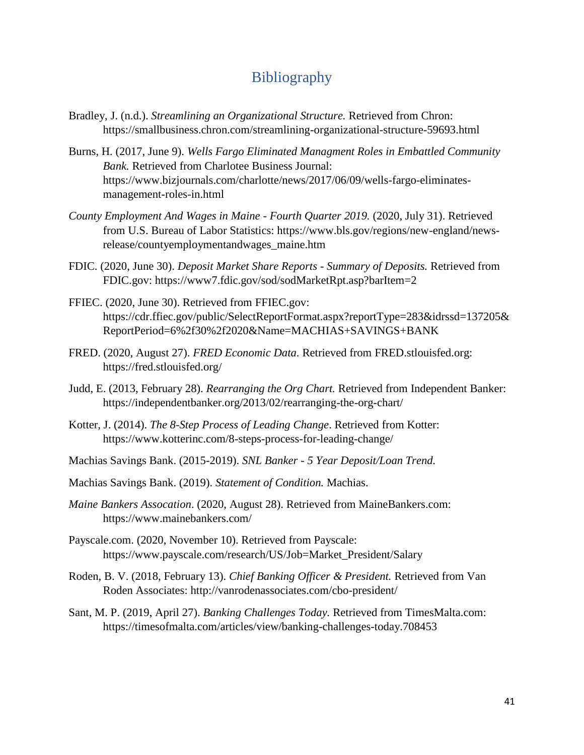## <span id="page-42-0"></span>**Bibliography**

- Bradley, J. (n.d.). *Streamlining an Organizational Structure.* Retrieved from Chron: https://smallbusiness.chron.com/streamlining-organizational-structure-59693.html
- Burns, H. (2017, June 9). *Wells Fargo Eliminated Managment Roles in Embattled Community Bank.* Retrieved from Charlotee Business Journal: https://www.bizjournals.com/charlotte/news/2017/06/09/wells-fargo-eliminatesmanagement-roles-in.html
- *County Employment And Wages in Maine - Fourth Quarter 2019.* (2020, July 31). Retrieved from U.S. Bureau of Labor Statistics: https://www.bls.gov/regions/new-england/newsrelease/countyemploymentandwages\_maine.htm
- FDIC. (2020, June 30). *Deposit Market Share Reports - Summary of Deposits.* Retrieved from FDIC.gov: https://www7.fdic.gov/sod/sodMarketRpt.asp?barItem=2
- FFIEC. (2020, June 30). Retrieved from FFIEC.gov: https://cdr.ffiec.gov/public/SelectReportFormat.aspx?reportType=283&idrssd=137205& ReportPeriod=6%2f30%2f2020&Name=MACHIAS+SAVINGS+BANK
- FRED. (2020, August 27). *FRED Economic Data*. Retrieved from FRED.stlouisfed.org: https://fred.stlouisfed.org/
- Judd, E. (2013, February 28). *Rearranging the Org Chart.* Retrieved from Independent Banker: https://independentbanker.org/2013/02/rearranging-the-org-chart/
- Kotter, J. (2014). *The 8-Step Process of Leading Change*. Retrieved from Kotter: https://www.kotterinc.com/8-steps-process-for-leading-change/
- Machias Savings Bank. (2015-2019). *SNL Banker - 5 Year Deposit/Loan Trend.*
- Machias Savings Bank. (2019). *Statement of Condition.* Machias.
- *Maine Bankers Assocation*. (2020, August 28). Retrieved from MaineBankers.com: https://www.mainebankers.com/
- Payscale.com. (2020, November 10). Retrieved from Payscale: https://www.payscale.com/research/US/Job=Market\_President/Salary
- Roden, B. V. (2018, February 13). *Chief Banking Officer & President.* Retrieved from Van Roden Associates: http://vanrodenassociates.com/cbo-president/
- Sant, M. P. (2019, April 27). *Banking Challenges Today.* Retrieved from TimesMalta.com: https://timesofmalta.com/articles/view/banking-challenges-today.708453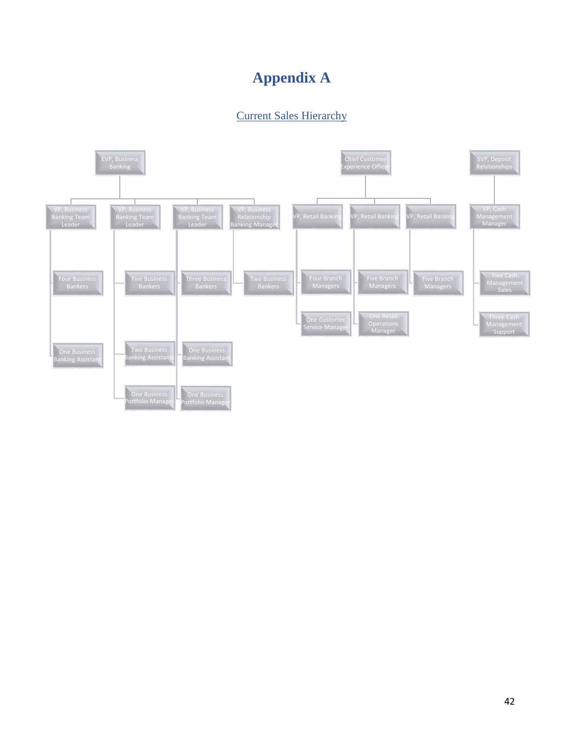# **Appendix A**

## <span id="page-43-1"></span>Current Sales Hierarchy

<span id="page-43-0"></span>